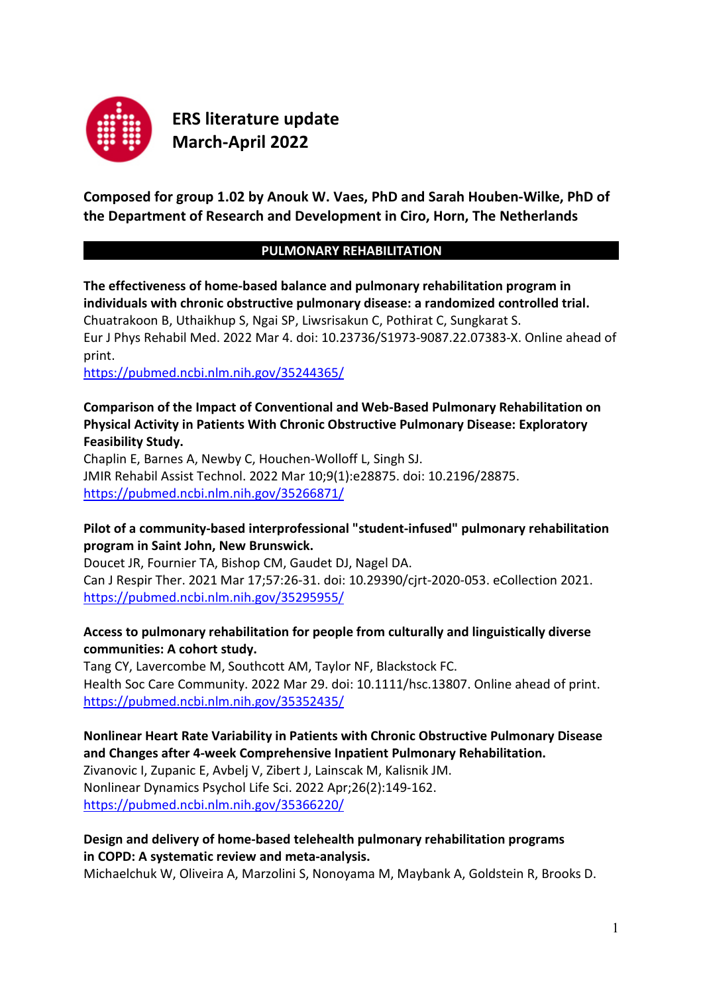

**ERS literature update March-April 2022**

**Composed for group 1.02 by Anouk W. Vaes, PhD and Sarah Houben-Wilke, PhD of the Department of Research and Development in Ciro, Horn, The Netherlands**

### **PULMONARY REHABILITATION**

**The effectiveness of home-based balance and pulmonary rehabilitation program in individuals with chronic obstructive pulmonary disease: a randomized controlled trial.** Chuatrakoon B, Uthaikhup S, Ngai SP, Liwsrisakun C, Pothirat C, Sungkarat S. Eur J Phys Rehabil Med. 2022 Mar 4. doi: 10.23736/S1973-9087.22.07383-X. Online ahead of print.

<https://pubmed.ncbi.nlm.nih.gov/35244365/>

### **Comparison of the Impact of Conventional and Web-Based Pulmonary Rehabilitation on Physical Activity in Patients With Chronic Obstructive Pulmonary Disease: Exploratory Feasibility Study.**

Chaplin E, Barnes A, Newby C, Houchen-Wolloff L, Singh SJ. JMIR Rehabil Assist Technol. 2022 Mar 10;9(1):e28875. doi: 10.2196/28875. <https://pubmed.ncbi.nlm.nih.gov/35266871/>

### **Pilot of a community-based interprofessional "student-infused" pulmonary rehabilitation program in Saint John, New Brunswick.**

Doucet JR, Fournier TA, Bishop CM, Gaudet DJ, Nagel DA. Can J Respir Ther. 2021 Mar 17;57:26-31. doi: 10.29390/cjrt-2020-053. eCollection 2021. <https://pubmed.ncbi.nlm.nih.gov/35295955/>

## **Access to pulmonary rehabilitation for people from culturally and linguistically diverse communities: A cohort study.**

Tang CY, Lavercombe M, Southcott AM, Taylor NF, Blackstock FC. Health Soc Care Community. 2022 Mar 29. doi: 10.1111/hsc.13807. Online ahead of print. <https://pubmed.ncbi.nlm.nih.gov/35352435/>

## **Nonlinear Heart Rate Variability in Patients with Chronic Obstructive Pulmonary Disease and Changes after 4-week Comprehensive Inpatient Pulmonary Rehabilitation.**

Zivanovic I, Zupanic E, Avbelj V, Zibert J, Lainscak M, Kalisnik JM. Nonlinear Dynamics Psychol Life Sci. 2022 Apr;26(2):149-162. <https://pubmed.ncbi.nlm.nih.gov/35366220/>

### **Design and delivery of home-based telehealth pulmonary rehabilitation programs in COPD: A systematic review and meta-analysis.**

Michaelchuk W, Oliveira A, Marzolini S, Nonoyama M, Maybank A, Goldstein R, Brooks D.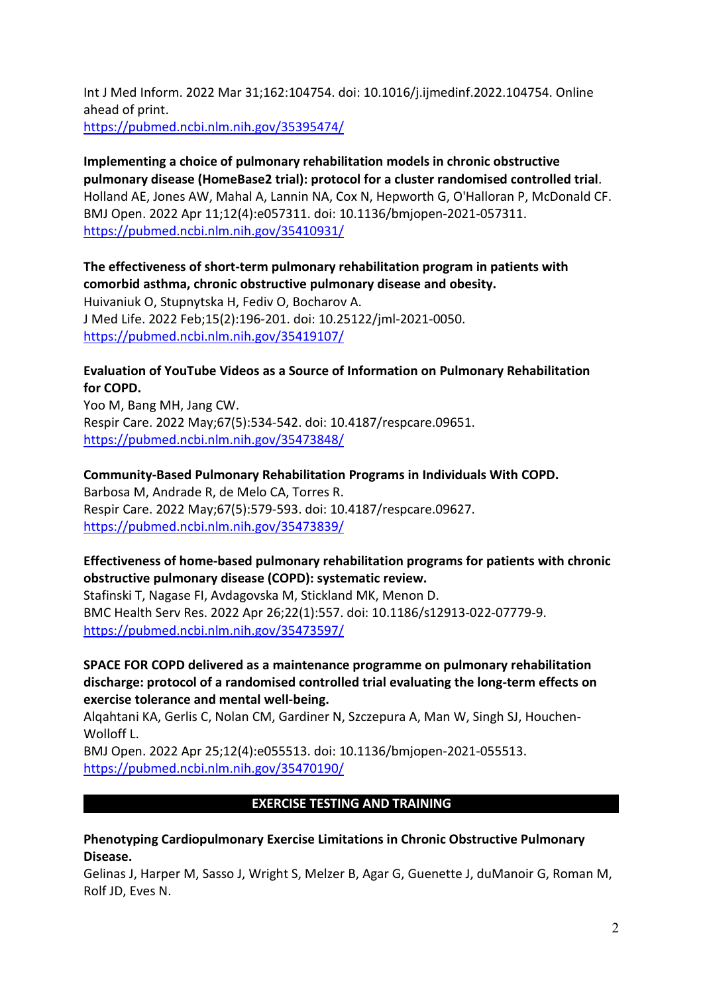Int J Med Inform. 2022 Mar 31;162:104754. doi: 10.1016/j.ijmedinf.2022.104754. Online ahead of print. <https://pubmed.ncbi.nlm.nih.gov/35395474/>

**Implementing a choice of pulmonary rehabilitation models in chronic obstructive pulmonary disease (HomeBase2 trial): protocol for a cluster randomised controlled trial**. Holland AE, Jones AW, Mahal A, Lannin NA, Cox N, Hepworth G, O'Halloran P, McDonald CF. BMJ Open. 2022 Apr 11;12(4):e057311. doi: 10.1136/bmjopen-2021-057311. <https://pubmed.ncbi.nlm.nih.gov/35410931/>

**The effectiveness of short-term pulmonary rehabilitation program in patients with comorbid asthma, chronic obstructive pulmonary disease and obesity.** Huivaniuk O, Stupnytska H, Fediv O, Bocharov A. J Med Life. 2022 Feb;15(2):196-201. doi: 10.25122/jml-2021-0050. <https://pubmed.ncbi.nlm.nih.gov/35419107/>

**Evaluation of YouTube Videos as a Source of Information on Pulmonary Rehabilitation for COPD.** 

Yoo M, Bang MH, Jang CW. Respir Care. 2022 May;67(5):534-542. doi: 10.4187/respcare.09651. <https://pubmed.ncbi.nlm.nih.gov/35473848/>

**Community-Based Pulmonary Rehabilitation Programs in Individuals With COPD.**  Barbosa M, Andrade R, de Melo CA, Torres R. Respir Care. 2022 May;67(5):579-593. doi: 10.4187/respcare.09627. <https://pubmed.ncbi.nlm.nih.gov/35473839/>

**Effectiveness of home-based pulmonary rehabilitation programs for patients with chronic obstructive pulmonary disease (COPD): systematic review.**

Stafinski T, Nagase FI, Avdagovska M, Stickland MK, Menon D. BMC Health Serv Res. 2022 Apr 26;22(1):557. doi: 10.1186/s12913-022-07779-9. <https://pubmed.ncbi.nlm.nih.gov/35473597/>

**SPACE FOR COPD delivered as a maintenance programme on pulmonary rehabilitation discharge: protocol of a randomised controlled trial evaluating the long-term effects on exercise tolerance and mental well-being.**

Alqahtani KA, Gerlis C, Nolan CM, Gardiner N, Szczepura A, Man W, Singh SJ, Houchen-Wolloff L.

BMJ Open. 2022 Apr 25;12(4):e055513. doi: 10.1136/bmjopen-2021-055513. <https://pubmed.ncbi.nlm.nih.gov/35470190/>

## **EXERCISE TESTING AND TRAINING**

**Phenotyping Cardiopulmonary Exercise Limitations in Chronic Obstructive Pulmonary Disease.** 

Gelinas J, Harper M, Sasso J, Wright S, Melzer B, Agar G, Guenette J, duManoir G, Roman M, Rolf JD, Eves N.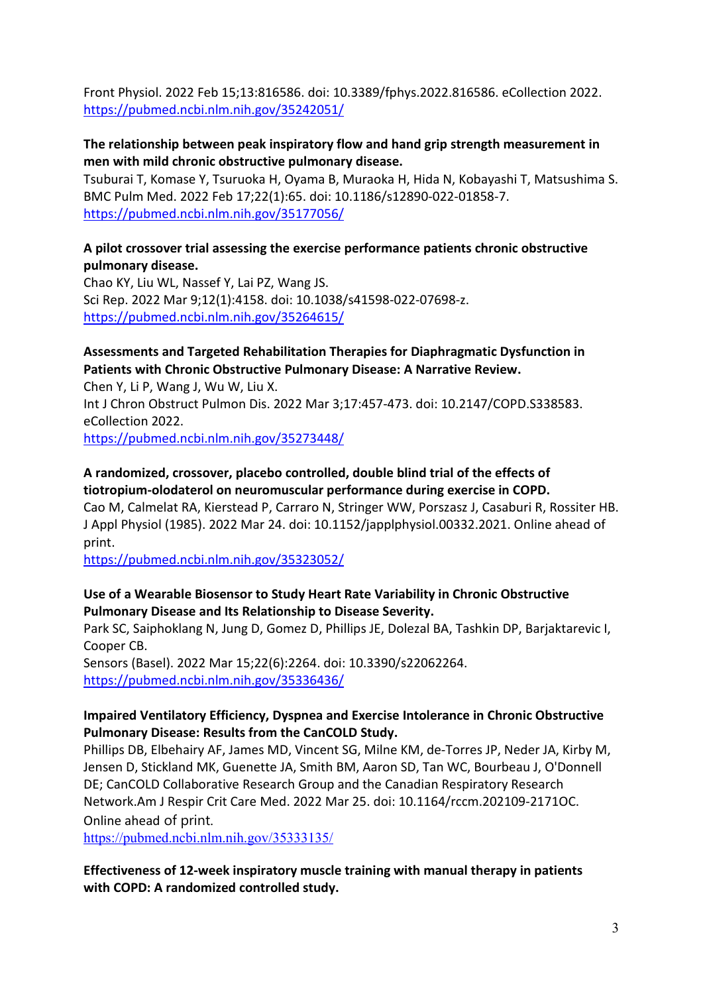Front Physiol. 2022 Feb 15;13:816586. doi: 10.3389/fphys.2022.816586. eCollection 2022. <https://pubmed.ncbi.nlm.nih.gov/35242051/>

#### **The relationship between peak inspiratory flow and hand grip strength measurement in men with mild chronic obstructive pulmonary disease.**

Tsuburai T, Komase Y, Tsuruoka H, Oyama B, Muraoka H, Hida N, Kobayashi T, Matsushima S. BMC Pulm Med. 2022 Feb 17;22(1):65. doi: 10.1186/s12890-022-01858-7. <https://pubmed.ncbi.nlm.nih.gov/35177056/>

### **A pilot crossover trial assessing the exercise performance patients chronic obstructive pulmonary disease.**

Chao KY, Liu WL, Nassef Y, Lai PZ, Wang JS. Sci Rep. 2022 Mar 9;12(1):4158. doi: 10.1038/s41598-022-07698-z. <https://pubmed.ncbi.nlm.nih.gov/35264615/>

#### **Assessments and Targeted Rehabilitation Therapies for Diaphragmatic Dysfunction in Patients with Chronic Obstructive Pulmonary Disease: A Narrative Review.**

Chen Y, Li P, Wang J, Wu W, Liu X. Int J Chron Obstruct Pulmon Dis. 2022 Mar 3;17:457-473. doi: 10.2147/COPD.S338583. eCollection 2022.

<https://pubmed.ncbi.nlm.nih.gov/35273448/>

### **A randomized, crossover, placebo controlled, double blind trial of the effects of tiotropium-olodaterol on neuromuscular performance during exercise in COPD.**

Cao M, Calmelat RA, Kierstead P, Carraro N, Stringer WW, Porszasz J, Casaburi R, Rossiter HB. J Appl Physiol (1985). 2022 Mar 24. doi: 10.1152/japplphysiol.00332.2021. Online ahead of print.

<https://pubmed.ncbi.nlm.nih.gov/35323052/>

### **Use of a Wearable Biosensor to Study Heart Rate Variability in Chronic Obstructive Pulmonary Disease and Its Relationship to Disease Severity.**

Park SC, Saiphoklang N, Jung D, Gomez D, Phillips JE, Dolezal BA, Tashkin DP, Barjaktarevic I, Cooper CB.

Sensors (Basel). 2022 Mar 15;22(6):2264. doi: 10.3390/s22062264. <https://pubmed.ncbi.nlm.nih.gov/35336436/>

### **Impaired Ventilatory Efficiency, Dyspnea and Exercise Intolerance in Chronic Obstructive Pulmonary Disease: Results from the CanCOLD Study.**

Phillips DB, Elbehairy AF, James MD, Vincent SG, Milne KM, de-Torres JP, Neder JA, Kirby M, Jensen D, Stickland MK, Guenette JA, Smith BM, Aaron SD, Tan WC, Bourbeau J, O'Donnell DE; CanCOLD Collaborative Research Group and the Canadian Respiratory Research Network.Am J Respir Crit Care Med. 2022 Mar 25. doi: 10.1164/rccm.202109-2171OC. Online ahead of print.

<https://pubmed.ncbi.nlm.nih.gov/35333135/>

### **Effectiveness of 12-week inspiratory muscle training with manual therapy in patients with COPD: A randomized controlled study.**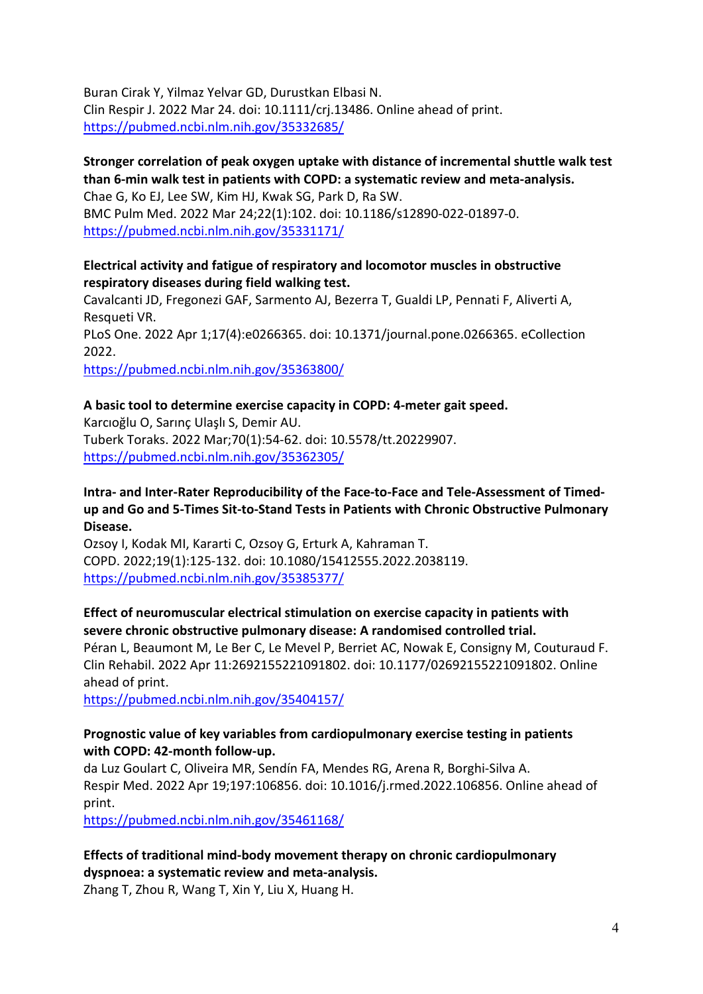Buran Cirak Y, Yilmaz Yelvar GD, Durustkan Elbasi N. Clin Respir J. 2022 Mar 24. doi: 10.1111/crj.13486. Online ahead of print. <https://pubmed.ncbi.nlm.nih.gov/35332685/>

## **Stronger correlation of peak oxygen uptake with distance of incremental shuttle walk test than 6-min walk test in patients with COPD: a systematic review and meta-analysis.**

Chae G, Ko EJ, Lee SW, Kim HJ, Kwak SG, Park D, Ra SW. BMC Pulm Med. 2022 Mar 24;22(1):102. doi: 10.1186/s12890-022-01897-0. <https://pubmed.ncbi.nlm.nih.gov/35331171/>

### **Electrical activity and fatigue of respiratory and locomotor muscles in obstructive respiratory diseases during field walking test.**

Cavalcanti JD, Fregonezi GAF, Sarmento AJ, Bezerra T, Gualdi LP, Pennati F, Aliverti A, Resqueti VR.

PLoS One. 2022 Apr 1;17(4):e0266365. doi: 10.1371/journal.pone.0266365. eCollection 2022.

<https://pubmed.ncbi.nlm.nih.gov/35363800/>

## **A basic tool to determine exercise capacity in COPD: 4-meter gait speed.**

Karcıoğlu O, Sarınç Ulaşlı S, Demir AU. Tuberk Toraks. 2022 Mar;70(1):54-62. doi: 10.5578/tt.20229907. <https://pubmed.ncbi.nlm.nih.gov/35362305/>

**Intra- and Inter-Rater Reproducibility of the Face-to-Face and Tele-Assessment of Timedup and Go and 5-Times Sit-to-Stand Tests in Patients with Chronic Obstructive Pulmonary Disease.**

Ozsoy I, Kodak MI, Kararti C, Ozsoy G, Erturk A, Kahraman T. COPD. 2022;19(1):125-132. doi: 10.1080/15412555.2022.2038119. <https://pubmed.ncbi.nlm.nih.gov/35385377/>

## **Effect of neuromuscular electrical stimulation on exercise capacity in patients with severe chronic obstructive pulmonary disease: A randomised controlled trial.**

Péran L, Beaumont M, Le Ber C, Le Mevel P, Berriet AC, Nowak E, Consigny M, Couturaud F. Clin Rehabil. 2022 Apr 11:2692155221091802. doi: 10.1177/02692155221091802. Online ahead of print.

<https://pubmed.ncbi.nlm.nih.gov/35404157/>

### **Prognostic value of key variables from cardiopulmonary exercise testing in patients with COPD: 42-month follow-up.**

da Luz Goulart C, Oliveira MR, Sendín FA, Mendes RG, Arena R, Borghi-Silva A. Respir Med. 2022 Apr 19;197:106856. doi: 10.1016/j.rmed.2022.106856. Online ahead of print.

<https://pubmed.ncbi.nlm.nih.gov/35461168/>

## **Effects of traditional mind-body movement therapy on chronic cardiopulmonary dyspnoea: a systematic review and meta-analysis.**

Zhang T, Zhou R, Wang T, Xin Y, Liu X, Huang H.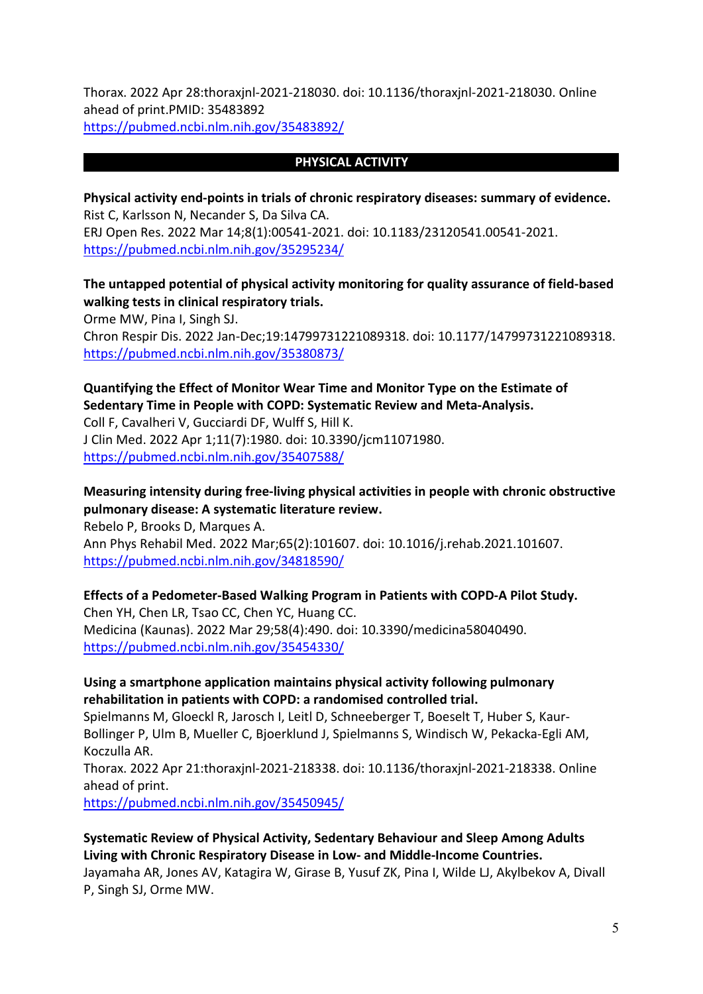Thorax. 2022 Apr 28:thoraxjnl-2021-218030. doi: 10.1136/thoraxjnl-2021-218030. Online ahead of print.PMID: 35483892 <https://pubmed.ncbi.nlm.nih.gov/35483892/>

#### **PHYSICAL ACTIVITY**

**Physical activity end-points in trials of chronic respiratory diseases: summary of evidence.** Rist C, Karlsson N, Necander S, Da Silva CA. ERJ Open Res. 2022 Mar 14;8(1):00541-2021. doi: 10.1183/23120541.00541-2021. <https://pubmed.ncbi.nlm.nih.gov/35295234/>

### **The untapped potential of physical activity monitoring for quality assurance of field-based walking tests in clinical respiratory trials.**

Orme MW, Pina I, Singh SJ.

Chron Respir Dis. 2022 Jan-Dec;19:14799731221089318. doi: 10.1177/14799731221089318. <https://pubmed.ncbi.nlm.nih.gov/35380873/>

#### **Quantifying the Effect of Monitor Wear Time and Monitor Type on the Estimate of Sedentary Time in People with COPD: Systematic Review and Meta-Analysis.**

Coll F, Cavalheri V, Gucciardi DF, Wulff S, Hill K. J Clin Med. 2022 Apr 1;11(7):1980. doi: 10.3390/jcm11071980. <https://pubmed.ncbi.nlm.nih.gov/35407588/>

### **Measuring intensity during free-living physical activities in people with chronic obstructive pulmonary disease: A systematic literature review.**

Rebelo P, Brooks D, Marques A. Ann Phys Rehabil Med. 2022 Mar;65(2):101607. doi: 10.1016/j.rehab.2021.101607. <https://pubmed.ncbi.nlm.nih.gov/34818590/>

#### **Effects of a Pedometer-Based Walking Program in Patients with COPD-A Pilot Study.**

Chen YH, Chen LR, Tsao CC, Chen YC, Huang CC. Medicina (Kaunas). 2022 Mar 29;58(4):490. doi: 10.3390/medicina58040490. <https://pubmed.ncbi.nlm.nih.gov/35454330/>

#### **Using a smartphone application maintains physical activity following pulmonary rehabilitation in patients with COPD: a randomised controlled trial.**

Spielmanns M, Gloeckl R, Jarosch I, Leitl D, Schneeberger T, Boeselt T, Huber S, Kaur-Bollinger P, Ulm B, Mueller C, Bjoerklund J, Spielmanns S, Windisch W, Pekacka-Egli AM, Koczulla AR.

Thorax. 2022 Apr 21:thoraxjnl-2021-218338. doi: 10.1136/thoraxjnl-2021-218338. Online ahead of print.

<https://pubmed.ncbi.nlm.nih.gov/35450945/>

## **Systematic Review of Physical Activity, Sedentary Behaviour and Sleep Among Adults Living with Chronic Respiratory Disease in Low- and Middle-Income Countries.**

Jayamaha AR, Jones AV, Katagira W, Girase B, Yusuf ZK, Pina I, Wilde LJ, Akylbekov A, Divall P, Singh SJ, Orme MW.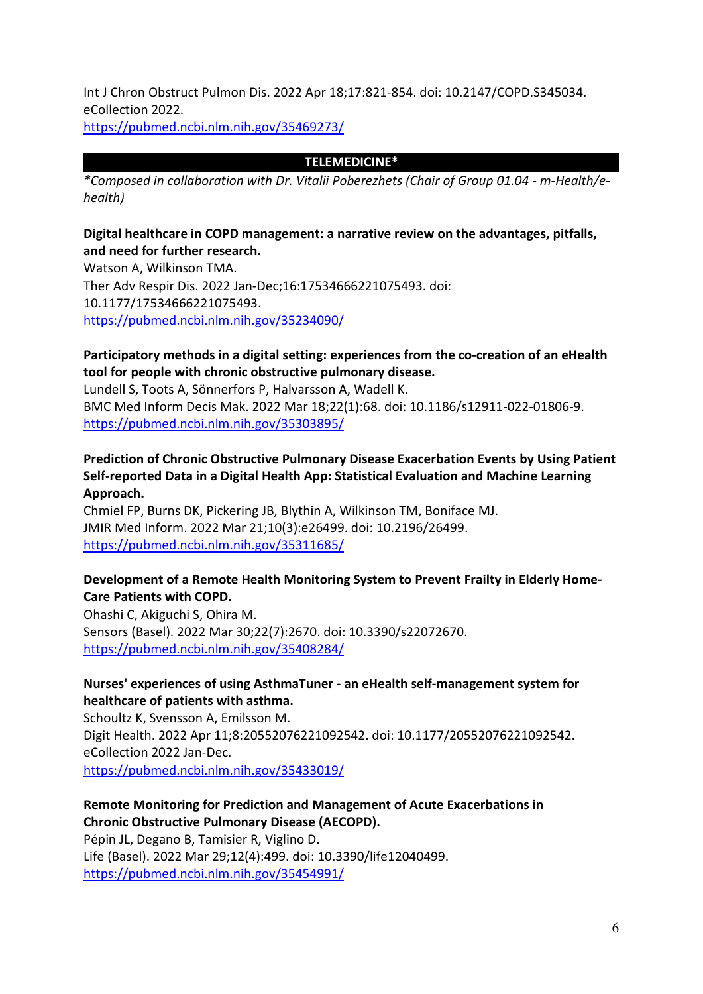Int J Chron Obstruct Pulmon Dis. 2022 Apr 18;17:821-854. doi: 10.2147/COPD.S345034. eCollection 2022.

<https://pubmed.ncbi.nlm.nih.gov/35469273/>

#### **TELEMEDICINE\***

*\*Composed in collaboration with Dr. Vitalii Poberezhets (Chair of Group 01.04 - m-Health/ehealth)*

### **Digital healthcare in COPD management: a narrative review on the advantages, pitfalls, and need for further research.**

Watson A, Wilkinson TMA. Ther Adv Respir Dis. 2022 Jan-Dec;16:17534666221075493. doi: 10.1177/17534666221075493. <https://pubmed.ncbi.nlm.nih.gov/35234090/>

### **Participatory methods in a digital setting: experiences from the co-creation of an eHealth tool for people with chronic obstructive pulmonary disease.**

Lundell S, Toots A, Sönnerfors P, Halvarsson A, Wadell K. BMC Med Inform Decis Mak. 2022 Mar 18;22(1):68. doi: 10.1186/s12911-022-01806-9. <https://pubmed.ncbi.nlm.nih.gov/35303895/>

## **Prediction of Chronic Obstructive Pulmonary Disease Exacerbation Events by Using Patient Self-reported Data in a Digital Health App: Statistical Evaluation and Machine Learning Approach.**

Chmiel FP, Burns DK, Pickering JB, Blythin A, Wilkinson TM, Boniface MJ. JMIR Med Inform. 2022 Mar 21;10(3):e26499. doi: 10.2196/26499. <https://pubmed.ncbi.nlm.nih.gov/35311685/>

### **Development of a Remote Health Monitoring System to Prevent Frailty in Elderly Home-Care Patients with COPD.**

Ohashi C, Akiguchi S, Ohira M. Sensors (Basel). 2022 Mar 30;22(7):2670. doi: 10.3390/s22072670. <https://pubmed.ncbi.nlm.nih.gov/35408284/>

## **Nurses' experiences of using AsthmaTuner - an eHealth self-management system for healthcare of patients with asthma.**

Schoultz K, Svensson A, Emilsson M. Digit Health. 2022 Apr 11;8:20552076221092542. doi: 10.1177/20552076221092542. eCollection 2022 Jan-Dec. <https://pubmed.ncbi.nlm.nih.gov/35433019/>

## **Remote Monitoring for Prediction and Management of Acute Exacerbations in Chronic Obstructive Pulmonary Disease (AECOPD).**

Pépin JL, Degano B, Tamisier R, Viglino D. Life (Basel). 2022 Mar 29;12(4):499. doi: 10.3390/life12040499. <https://pubmed.ncbi.nlm.nih.gov/35454991/>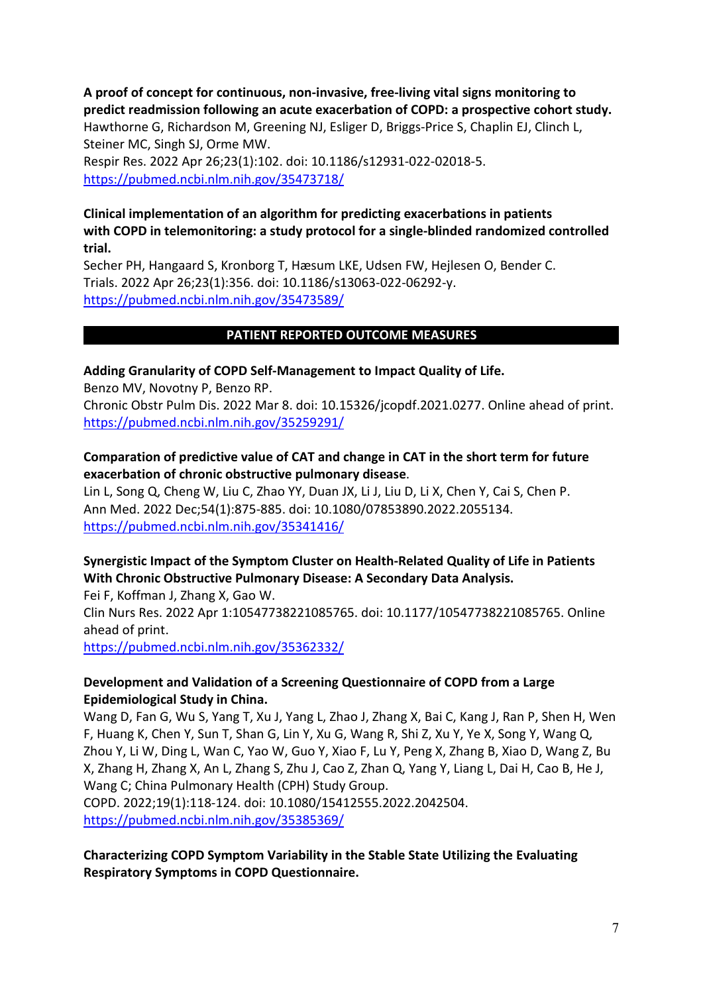**A proof of concept for continuous, non-invasive, free-living vital signs monitoring to predict readmission following an acute exacerbation of COPD: a prospective cohort study.** Hawthorne G, Richardson M, Greening NJ, Esliger D, Briggs-Price S, Chaplin EJ, Clinch L, Steiner MC, Singh SJ, Orme MW.

Respir Res. 2022 Apr 26;23(1):102. doi: 10.1186/s12931-022-02018-5. <https://pubmed.ncbi.nlm.nih.gov/35473718/>

### **Clinical implementation of an algorithm for predicting exacerbations in patients with COPD in telemonitoring: a study protocol for a single-blinded randomized controlled trial.**

Secher PH, Hangaard S, Kronborg T, Hæsum LKE, Udsen FW, Hejlesen O, Bender C. Trials. 2022 Apr 26;23(1):356. doi: 10.1186/s13063-022-06292-y. <https://pubmed.ncbi.nlm.nih.gov/35473589/>

### **PATIENT REPORTED OUTCOME MEASURES**

#### **Adding Granularity of COPD Self-Management to Impact Quality of Life.**

Benzo MV, Novotny P, Benzo RP. Chronic Obstr Pulm Dis. 2022 Mar 8. doi: 10.15326/jcopdf.2021.0277. Online ahead of print. <https://pubmed.ncbi.nlm.nih.gov/35259291/>

### **Comparation of predictive value of CAT and change in CAT in the short term for future exacerbation of chronic obstructive pulmonary disease**.

Lin L, Song Q, Cheng W, Liu C, Zhao YY, Duan JX, Li J, Liu D, Li X, Chen Y, Cai S, Chen P. Ann Med. 2022 Dec;54(1):875-885. doi: 10.1080/07853890.2022.2055134. <https://pubmed.ncbi.nlm.nih.gov/35341416/>

## **Synergistic Impact of the Symptom Cluster on Health-Related Quality of Life in Patients With Chronic Obstructive Pulmonary Disease: A Secondary Data Analysis.**

Fei F, Koffman J, Zhang X, Gao W. Clin Nurs Res. 2022 Apr 1:10547738221085765. doi: 10.1177/10547738221085765. Online ahead of print.

<https://pubmed.ncbi.nlm.nih.gov/35362332/>

#### **Development and Validation of a Screening Questionnaire of COPD from a Large Epidemiological Study in China.**

Wang D, Fan G, Wu S, Yang T, Xu J, Yang L, Zhao J, Zhang X, Bai C, Kang J, Ran P, Shen H, Wen F, Huang K, Chen Y, Sun T, Shan G, Lin Y, Xu G, Wang R, Shi Z, Xu Y, Ye X, Song Y, Wang Q, Zhou Y, Li W, Ding L, Wan C, Yao W, Guo Y, Xiao F, Lu Y, Peng X, Zhang B, Xiao D, Wang Z, Bu X, Zhang H, Zhang X, An L, Zhang S, Zhu J, Cao Z, Zhan Q, Yang Y, Liang L, Dai H, Cao B, He J, Wang C; China Pulmonary Health (CPH) Study Group.

COPD. 2022;19(1):118-124. doi: 10.1080/15412555.2022.2042504. <https://pubmed.ncbi.nlm.nih.gov/35385369/>

### **Characterizing COPD Symptom Variability in the Stable State Utilizing the Evaluating Respiratory Symptoms in COPD Questionnaire.**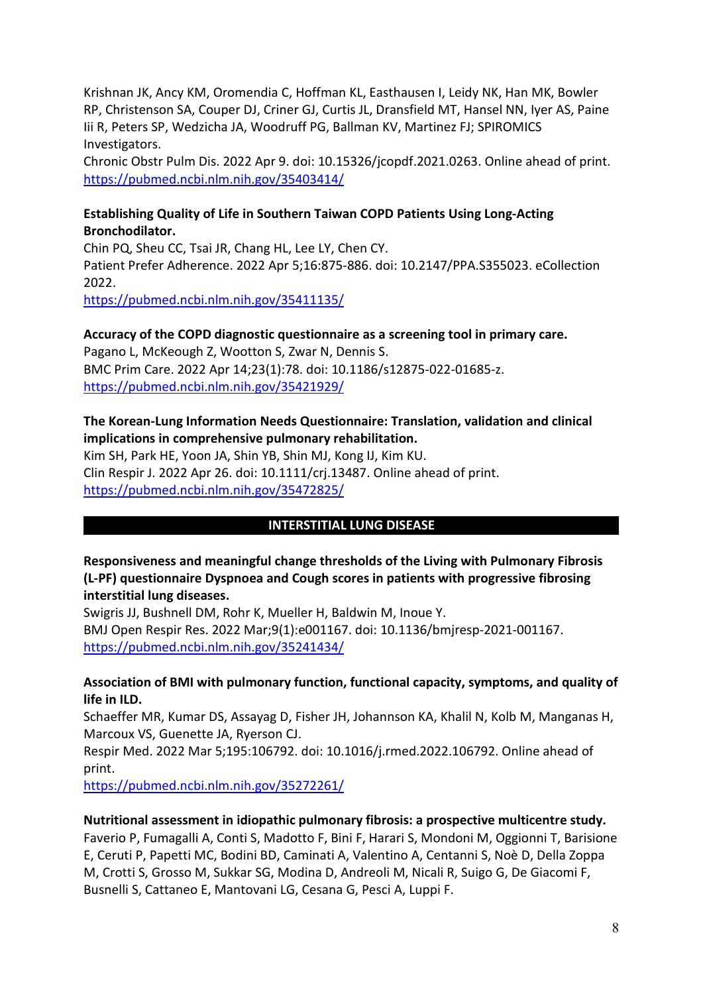Krishnan JK, Ancy KM, Oromendia C, Hoffman KL, Easthausen I, Leidy NK, Han MK, Bowler RP, Christenson SA, Couper DJ, Criner GJ, Curtis JL, Dransfield MT, Hansel NN, Iyer AS, Paine Iii R, Peters SP, Wedzicha JA, Woodruff PG, Ballman KV, Martinez FJ; SPIROMICS Investigators.

Chronic Obstr Pulm Dis. 2022 Apr 9. doi: 10.15326/jcopdf.2021.0263. Online ahead of print. <https://pubmed.ncbi.nlm.nih.gov/35403414/>

### **Establishing Quality of Life in Southern Taiwan COPD Patients Using Long-Acting Bronchodilator.**

Chin PQ, Sheu CC, Tsai JR, Chang HL, Lee LY, Chen CY. Patient Prefer Adherence. 2022 Apr 5;16:875-886. doi: 10.2147/PPA.S355023. eCollection 2022.

<https://pubmed.ncbi.nlm.nih.gov/35411135/>

**Accuracy of the COPD diagnostic questionnaire as a screening tool in primary care.**  Pagano L, McKeough Z, Wootton S, Zwar N, Dennis S. BMC Prim Care. 2022 Apr 14;23(1):78. doi: 10.1186/s12875-022-01685-z. <https://pubmed.ncbi.nlm.nih.gov/35421929/>

### **The Korean-Lung Information Needs Questionnaire: Translation, validation and clinical implications in comprehensive pulmonary rehabilitation.**

Kim SH, Park HE, Yoon JA, Shin YB, Shin MJ, Kong IJ, Kim KU. Clin Respir J. 2022 Apr 26. doi: 10.1111/crj.13487. Online ahead of print. <https://pubmed.ncbi.nlm.nih.gov/35472825/>

## **INTERSTITIAL LUNG DISEASE**

**Responsiveness and meaningful change thresholds of the Living with Pulmonary Fibrosis (L-PF) questionnaire Dyspnoea and Cough scores in patients with progressive fibrosing interstitial lung diseases.** 

Swigris JJ, Bushnell DM, Rohr K, Mueller H, Baldwin M, Inoue Y. BMJ Open Respir Res. 2022 Mar;9(1):e001167. doi: 10.1136/bmjresp-2021-001167. <https://pubmed.ncbi.nlm.nih.gov/35241434/>

#### **Association of BMI with pulmonary function, functional capacity, symptoms, and quality of life in ILD.**

Schaeffer MR, Kumar DS, Assayag D, Fisher JH, Johannson KA, Khalil N, Kolb M, Manganas H, Marcoux VS, Guenette JA, Ryerson CJ.

Respir Med. 2022 Mar 5;195:106792. doi: 10.1016/j.rmed.2022.106792. Online ahead of print.

<https://pubmed.ncbi.nlm.nih.gov/35272261/>

### **Nutritional assessment in idiopathic pulmonary fibrosis: a prospective multicentre study.**

Faverio P, Fumagalli A, Conti S, Madotto F, Bini F, Harari S, Mondoni M, Oggionni T, Barisione E, Ceruti P, Papetti MC, Bodini BD, Caminati A, Valentino A, Centanni S, Noè D, Della Zoppa M, Crotti S, Grosso M, Sukkar SG, Modina D, Andreoli M, Nicali R, Suigo G, De Giacomi F, Busnelli S, Cattaneo E, Mantovani LG, Cesana G, Pesci A, Luppi F.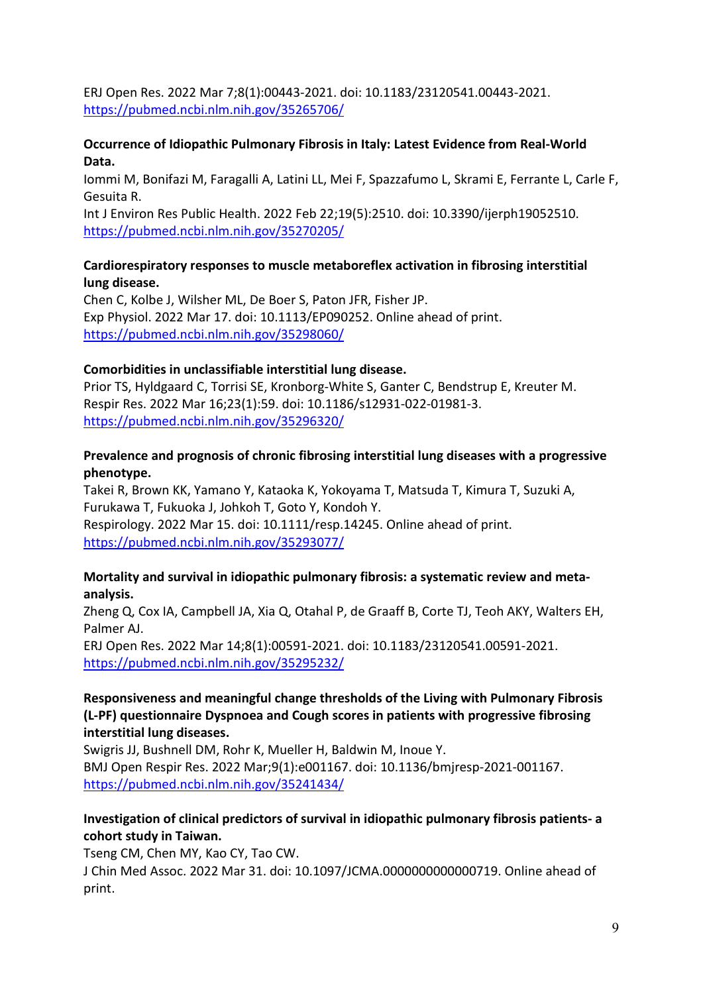ERJ Open Res. 2022 Mar 7;8(1):00443-2021. doi: 10.1183/23120541.00443-2021. <https://pubmed.ncbi.nlm.nih.gov/35265706/>

#### **Occurrence of Idiopathic Pulmonary Fibrosis in Italy: Latest Evidence from Real-World Data.**

Iommi M, Bonifazi M, Faragalli A, Latini LL, Mei F, Spazzafumo L, Skrami E, Ferrante L, Carle F, Gesuita R.

Int J Environ Res Public Health. 2022 Feb 22;19(5):2510. doi: 10.3390/ijerph19052510. <https://pubmed.ncbi.nlm.nih.gov/35270205/>

### **Cardiorespiratory responses to muscle metaboreflex activation in fibrosing interstitial lung disease.**

Chen C, Kolbe J, Wilsher ML, De Boer S, Paton JFR, Fisher JP. Exp Physiol. 2022 Mar 17. doi: 10.1113/EP090252. Online ahead of print. <https://pubmed.ncbi.nlm.nih.gov/35298060/>

### **Comorbidities in unclassifiable interstitial lung disease.**

Prior TS, Hyldgaard C, Torrisi SE, Kronborg-White S, Ganter C, Bendstrup E, Kreuter M. Respir Res. 2022 Mar 16;23(1):59. doi: 10.1186/s12931-022-01981-3. <https://pubmed.ncbi.nlm.nih.gov/35296320/>

### **Prevalence and prognosis of chronic fibrosing interstitial lung diseases with a progressive phenotype.**

Takei R, Brown KK, Yamano Y, Kataoka K, Yokoyama T, Matsuda T, Kimura T, Suzuki A, Furukawa T, Fukuoka J, Johkoh T, Goto Y, Kondoh Y. Respirology. 2022 Mar 15. doi: 10.1111/resp.14245. Online ahead of print. <https://pubmed.ncbi.nlm.nih.gov/35293077/>

### **Mortality and survival in idiopathic pulmonary fibrosis: a systematic review and metaanalysis.**

Zheng Q, Cox IA, Campbell JA, Xia Q, Otahal P, de Graaff B, Corte TJ, Teoh AKY, Walters EH, Palmer AJ.

ERJ Open Res. 2022 Mar 14;8(1):00591-2021. doi: 10.1183/23120541.00591-2021. <https://pubmed.ncbi.nlm.nih.gov/35295232/>

### **Responsiveness and meaningful change thresholds of the Living with Pulmonary Fibrosis (L-PF) questionnaire Dyspnoea and Cough scores in patients with progressive fibrosing interstitial lung diseases.**

Swigris JJ, Bushnell DM, Rohr K, Mueller H, Baldwin M, Inoue Y. BMJ Open Respir Res. 2022 Mar;9(1):e001167. doi: 10.1136/bmjresp-2021-001167. <https://pubmed.ncbi.nlm.nih.gov/35241434/>

### **Investigation of clinical predictors of survival in idiopathic pulmonary fibrosis patients- a cohort study in Taiwan.**

Tseng CM, Chen MY, Kao CY, Tao CW.

J Chin Med Assoc. 2022 Mar 31. doi: 10.1097/JCMA.0000000000000719. Online ahead of print.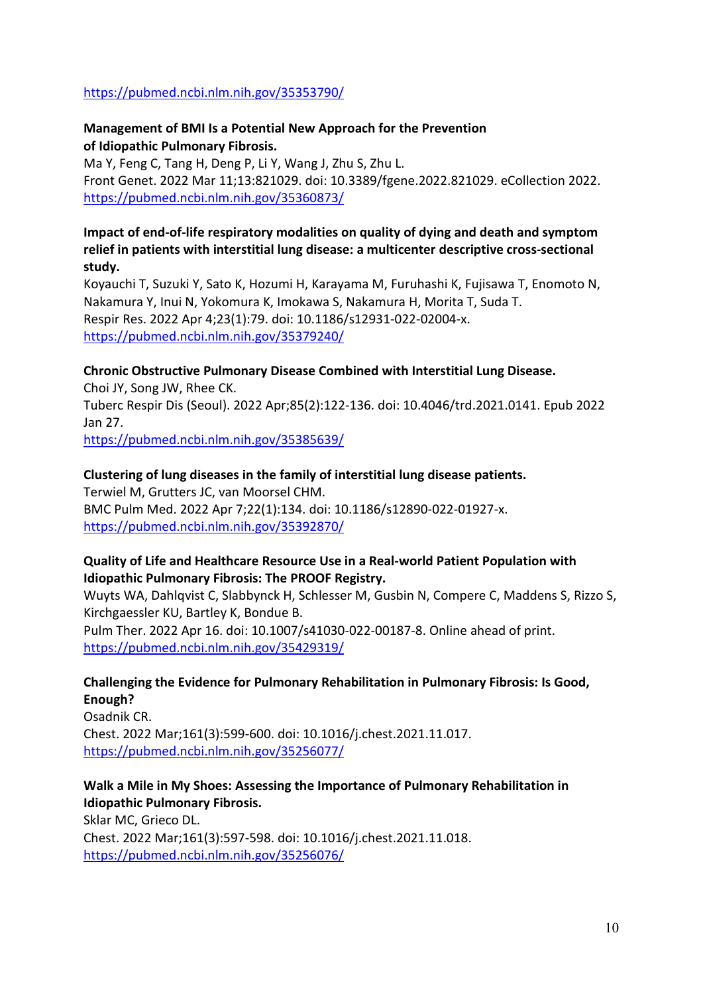#### <https://pubmed.ncbi.nlm.nih.gov/35353790/>

### **Management of BMI Is a Potential New Approach for the Prevention of Idiopathic Pulmonary Fibrosis.**

Ma Y, Feng C, Tang H, Deng P, Li Y, Wang J, Zhu S, Zhu L. Front Genet. 2022 Mar 11;13:821029. doi: 10.3389/fgene.2022.821029. eCollection 2022. <https://pubmed.ncbi.nlm.nih.gov/35360873/>

### **Impact of end-of-life respiratory modalities on quality of dying and death and symptom relief in patients with interstitial lung disease: a multicenter descriptive cross-sectional study.**

Koyauchi T, Suzuki Y, Sato K, Hozumi H, Karayama M, Furuhashi K, Fujisawa T, Enomoto N, Nakamura Y, Inui N, Yokomura K, Imokawa S, Nakamura H, Morita T, Suda T. Respir Res. 2022 Apr 4;23(1):79. doi: 10.1186/s12931-022-02004-x. <https://pubmed.ncbi.nlm.nih.gov/35379240/>

### **Chronic Obstructive Pulmonary Disease Combined with Interstitial Lung Disease.**

Choi JY, Song JW, Rhee CK. Tuberc Respir Dis (Seoul). 2022 Apr;85(2):122-136. doi: 10.4046/trd.2021.0141. Epub 2022 Jan 27. <https://pubmed.ncbi.nlm.nih.gov/35385639/>

#### **Clustering of lung diseases in the family of interstitial lung disease patients.**

Terwiel M, Grutters JC, van Moorsel CHM. BMC Pulm Med. 2022 Apr 7;22(1):134. doi: 10.1186/s12890-022-01927-x. <https://pubmed.ncbi.nlm.nih.gov/35392870/>

### **Quality of Life and Healthcare Resource Use in a Real-world Patient Population with Idiopathic Pulmonary Fibrosis: The PROOF Registry.**

Wuyts WA, Dahlqvist C, Slabbynck H, Schlesser M, Gusbin N, Compere C, Maddens S, Rizzo S, Kirchgaessler KU, Bartley K, Bondue B.

Pulm Ther. 2022 Apr 16. doi: 10.1007/s41030-022-00187-8. Online ahead of print. <https://pubmed.ncbi.nlm.nih.gov/35429319/>

### **Challenging the Evidence for Pulmonary Rehabilitation in Pulmonary Fibrosis: Is Good, Enough?**

Osadnik CR. Chest. 2022 Mar;161(3):599-600. doi: 10.1016/j.chest.2021.11.017. <https://pubmed.ncbi.nlm.nih.gov/35256077/>

**Walk a Mile in My Shoes: Assessing the Importance of Pulmonary Rehabilitation in Idiopathic Pulmonary Fibrosis.** Sklar MC, Grieco DL. Chest. 2022 Mar;161(3):597-598. doi: 10.1016/j.chest.2021.11.018. <https://pubmed.ncbi.nlm.nih.gov/35256076/>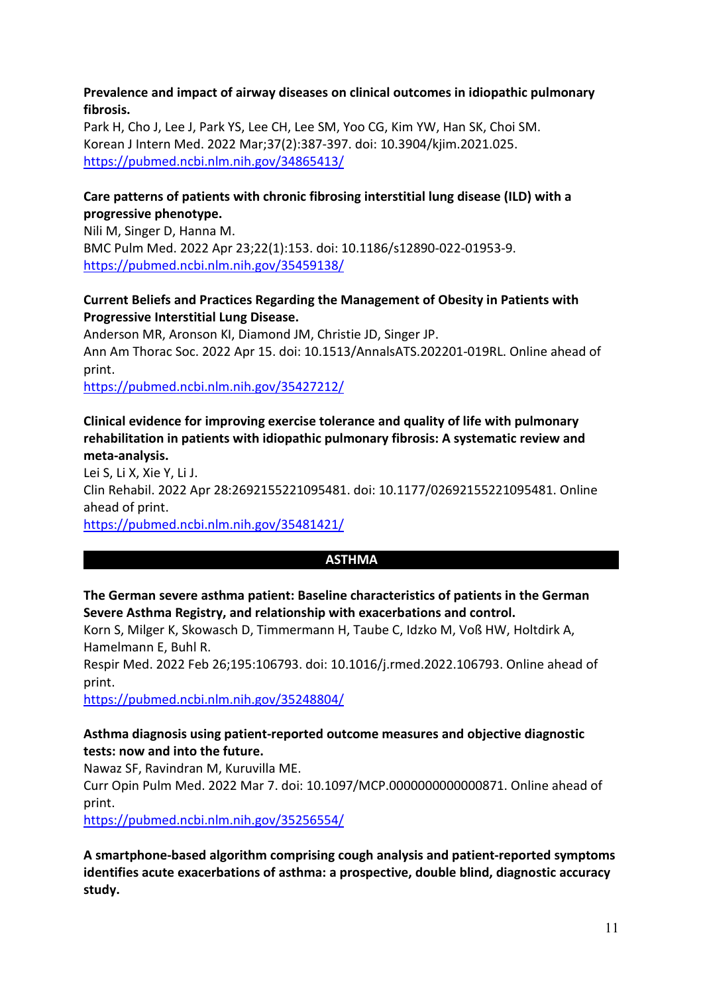#### **Prevalence and impact of airway diseases on clinical outcomes in idiopathic pulmonary fibrosis.**

Park H, Cho J, Lee J, Park YS, Lee CH, Lee SM, Yoo CG, Kim YW, Han SK, Choi SM. Korean J Intern Med. 2022 Mar;37(2):387-397. doi: 10.3904/kjim.2021.025. <https://pubmed.ncbi.nlm.nih.gov/34865413/>

### **Care patterns of patients with chronic fibrosing interstitial lung disease (ILD) with a progressive phenotype.**

Nili M, Singer D, Hanna M. BMC Pulm Med. 2022 Apr 23;22(1):153. doi: 10.1186/s12890-022-01953-9. <https://pubmed.ncbi.nlm.nih.gov/35459138/>

### **Current Beliefs and Practices Regarding the Management of Obesity in Patients with Progressive Interstitial Lung Disease.**

Anderson MR, Aronson KI, Diamond JM, Christie JD, Singer JP. Ann Am Thorac Soc. 2022 Apr 15. doi: 10.1513/AnnalsATS.202201-019RL. Online ahead of print.

<https://pubmed.ncbi.nlm.nih.gov/35427212/>

## **Clinical evidence for improving exercise tolerance and quality of life with pulmonary rehabilitation in patients with idiopathic pulmonary fibrosis: A systematic review and meta-analysis.**

Lei S, Li X, Xie Y, Li J. Clin Rehabil. 2022 Apr 28:2692155221095481. doi: 10.1177/02692155221095481. Online ahead of print. <https://pubmed.ncbi.nlm.nih.gov/35481421/>

### **ASTHMA**

## **The German severe asthma patient: Baseline characteristics of patients in the German Severe Asthma Registry, and relationship with exacerbations and control.**

Korn S, Milger K, Skowasch D, Timmermann H, Taube C, Idzko M, Voß HW, Holtdirk A, Hamelmann E, Buhl R.

Respir Med. 2022 Feb 26;195:106793. doi: 10.1016/j.rmed.2022.106793. Online ahead of print.

<https://pubmed.ncbi.nlm.nih.gov/35248804/>

## **Asthma diagnosis using patient-reported outcome measures and objective diagnostic tests: now and into the future.**

Nawaz SF, Ravindran M, Kuruvilla ME.

Curr Opin Pulm Med. 2022 Mar 7. doi: 10.1097/MCP.0000000000000871. Online ahead of print.

<https://pubmed.ncbi.nlm.nih.gov/35256554/>

**A smartphone-based algorithm comprising cough analysis and patient-reported symptoms identifies acute exacerbations of asthma: a prospective, double blind, diagnostic accuracy study.**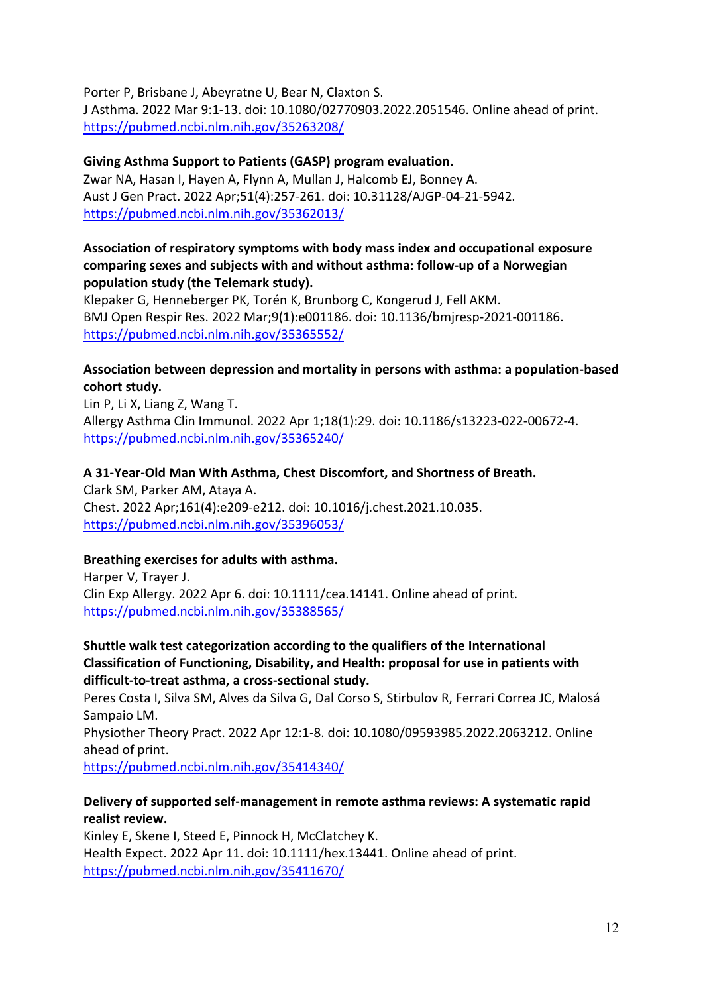Porter P, Brisbane J, Abeyratne U, Bear N, Claxton S.

J Asthma. 2022 Mar 9:1-13. doi: 10.1080/02770903.2022.2051546. Online ahead of print. <https://pubmed.ncbi.nlm.nih.gov/35263208/>

# **Giving Asthma Support to Patients (GASP) program evaluation.**

Zwar NA, Hasan I, Hayen A, Flynn A, Mullan J, Halcomb EJ, Bonney A. Aust J Gen Pract. 2022 Apr;51(4):257-261. doi: 10.31128/AJGP-04-21-5942. <https://pubmed.ncbi.nlm.nih.gov/35362013/>

#### **Association of respiratory symptoms with body mass index and occupational exposure comparing sexes and subjects with and without asthma: follow-up of a Norwegian population study (the Telemark study).**

Klepaker G, Henneberger PK, Torén K, Brunborg C, Kongerud J, Fell AKM. BMJ Open Respir Res. 2022 Mar;9(1):e001186. doi: 10.1136/bmjresp-2021-001186. <https://pubmed.ncbi.nlm.nih.gov/35365552/>

### **Association between depression and mortality in persons with asthma: a population-based cohort study.**

Lin P, Li X, Liang Z, Wang T. Allergy Asthma Clin Immunol. 2022 Apr 1;18(1):29. doi: 10.1186/s13223-022-00672-4. <https://pubmed.ncbi.nlm.nih.gov/35365240/>

### **A 31-Year-Old Man With Asthma, Chest Discomfort, and Shortness of Breath.**

Clark SM, Parker AM, Ataya A. Chest. 2022 Apr;161(4):e209-e212. doi: 10.1016/j.chest.2021.10.035. <https://pubmed.ncbi.nlm.nih.gov/35396053/>

### **Breathing exercises for adults with asthma.**

Harper V, Trayer J. Clin Exp Allergy. 2022 Apr 6. doi: 10.1111/cea.14141. Online ahead of print. <https://pubmed.ncbi.nlm.nih.gov/35388565/>

### **Shuttle walk test categorization according to the qualifiers of the International Classification of Functioning, Disability, and Health: proposal for use in patients with difficult-to-treat asthma, a cross-sectional study.**

Peres Costa I, Silva SM, Alves da Silva G, Dal Corso S, Stirbulov R, Ferrari Correa JC, Malosá Sampaio LM.

Physiother Theory Pract. 2022 Apr 12:1-8. doi: 10.1080/09593985.2022.2063212. Online ahead of print.

<https://pubmed.ncbi.nlm.nih.gov/35414340/>

### **Delivery of supported self-management in remote asthma reviews: A systematic rapid realist review.**

Kinley E, Skene I, Steed E, Pinnock H, McClatchey K. Health Expect. 2022 Apr 11. doi: 10.1111/hex.13441. Online ahead of print. <https://pubmed.ncbi.nlm.nih.gov/35411670/>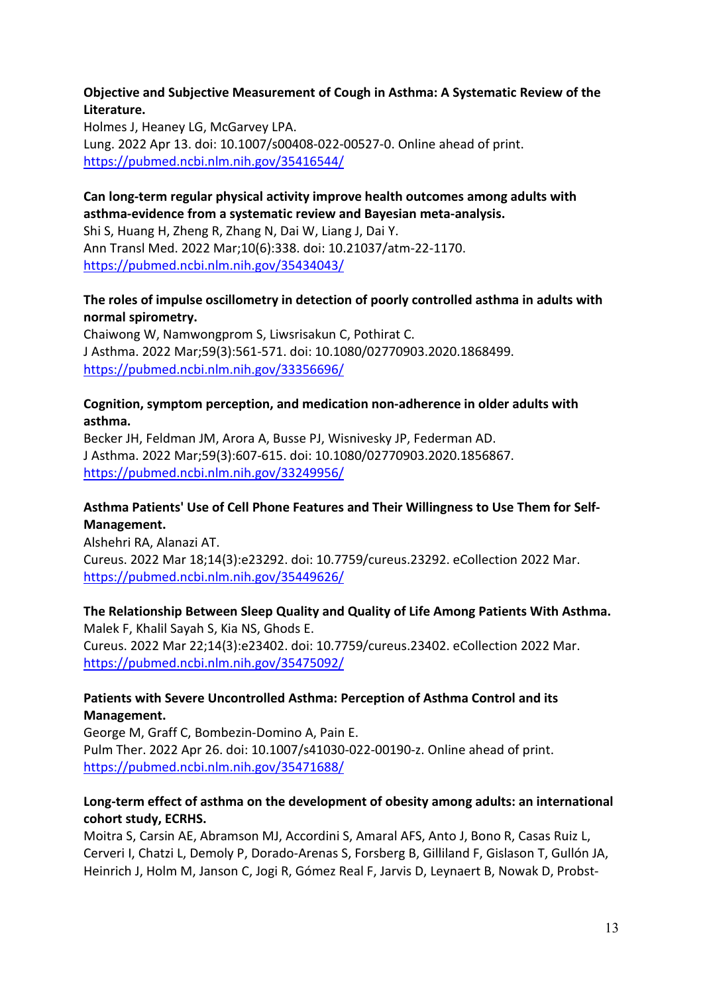#### **Objective and Subjective Measurement of Cough in Asthma: A Systematic Review of the Literature.**

Holmes J, Heaney LG, McGarvey LPA. Lung. 2022 Apr 13. doi: 10.1007/s00408-022-00527-0. Online ahead of print. <https://pubmed.ncbi.nlm.nih.gov/35416544/>

### **Can long-term regular physical activity improve health outcomes among adults with asthma-evidence from a systematic review and Bayesian meta-analysis.**

Shi S, Huang H, Zheng R, Zhang N, Dai W, Liang J, Dai Y. Ann Transl Med. 2022 Mar;10(6):338. doi: 10.21037/atm-22-1170. <https://pubmed.ncbi.nlm.nih.gov/35434043/>

## **The roles of impulse oscillometry in detection of poorly controlled asthma in adults with normal spirometry.**

Chaiwong W, Namwongprom S, Liwsrisakun C, Pothirat C. J Asthma. 2022 Mar;59(3):561-571. doi: 10.1080/02770903.2020.1868499. <https://pubmed.ncbi.nlm.nih.gov/33356696/>

### **Cognition, symptom perception, and medication non-adherence in older adults with asthma.**

Becker JH, Feldman JM, Arora A, Busse PJ, Wisnivesky JP, Federman AD. J Asthma. 2022 Mar;59(3):607-615. doi: 10.1080/02770903.2020.1856867. <https://pubmed.ncbi.nlm.nih.gov/33249956/>

### **Asthma Patients' Use of Cell Phone Features and Their Willingness to Use Them for Self-Management.**

Alshehri RA, Alanazi AT. Cureus. 2022 Mar 18;14(3):e23292. doi: 10.7759/cureus.23292. eCollection 2022 Mar. <https://pubmed.ncbi.nlm.nih.gov/35449626/>

#### **The Relationship Between Sleep Quality and Quality of Life Among Patients With Asthma.**  Malek F, Khalil Sayah S, Kia NS, Ghods E.

Cureus. 2022 Mar 22;14(3):e23402. doi: 10.7759/cureus.23402. eCollection 2022 Mar. <https://pubmed.ncbi.nlm.nih.gov/35475092/>

### **Patients with Severe Uncontrolled Asthma: Perception of Asthma Control and its Management.**

George M, Graff C, Bombezin-Domino A, Pain E. Pulm Ther. 2022 Apr 26. doi: 10.1007/s41030-022-00190-z. Online ahead of print. <https://pubmed.ncbi.nlm.nih.gov/35471688/>

### **Long-term effect of asthma on the development of obesity among adults: an international cohort study, ECRHS.**

Moitra S, Carsin AE, Abramson MJ, Accordini S, Amaral AFS, Anto J, Bono R, Casas Ruiz L, Cerveri I, Chatzi L, Demoly P, Dorado-Arenas S, Forsberg B, Gilliland F, Gislason T, Gullón JA, Heinrich J, Holm M, Janson C, Jogi R, Gómez Real F, Jarvis D, Leynaert B, Nowak D, Probst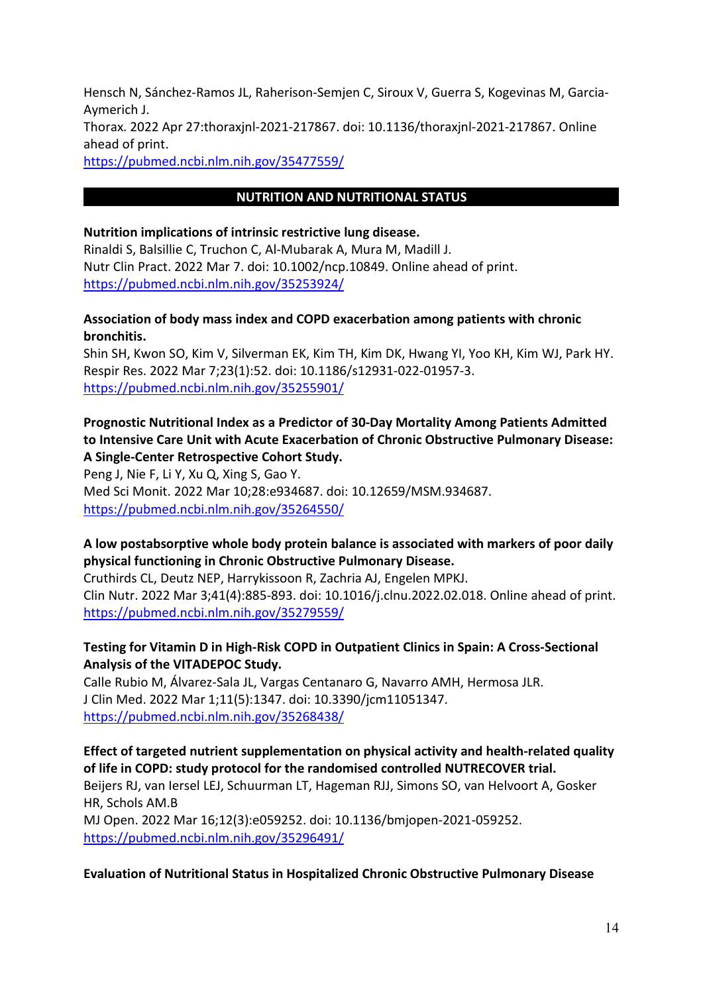Hensch N, Sánchez-Ramos JL, Raherison-Semjen C, Siroux V, Guerra S, Kogevinas M, Garcia-Aymerich J. Thorax. 2022 Apr 27:thoraxjnl-2021-217867. doi: 10.1136/thoraxjnl-2021-217867. Online ahead of print.

<https://pubmed.ncbi.nlm.nih.gov/35477559/>

### **NUTRITION AND NUTRITIONAL STATUS**

#### **Nutrition implications of intrinsic restrictive lung disease.**

Rinaldi S, Balsillie C, Truchon C, Al-Mubarak A, Mura M, Madill J. Nutr Clin Pract. 2022 Mar 7. doi: 10.1002/ncp.10849. Online ahead of print. <https://pubmed.ncbi.nlm.nih.gov/35253924/>

#### **Association of body mass index and COPD exacerbation among patients with chronic bronchitis.**

Shin SH, Kwon SO, Kim V, Silverman EK, Kim TH, Kim DK, Hwang YI, Yoo KH, Kim WJ, Park HY. Respir Res. 2022 Mar 7;23(1):52. doi: 10.1186/s12931-022-01957-3. <https://pubmed.ncbi.nlm.nih.gov/35255901/>

### **Prognostic Nutritional Index as a Predictor of 30-Day Mortality Among Patients Admitted to Intensive Care Unit with Acute Exacerbation of Chronic Obstructive Pulmonary Disease: A Single-Center Retrospective Cohort Study.**

Peng J, Nie F, Li Y, Xu Q, Xing S, Gao Y. Med Sci Monit. 2022 Mar 10;28:e934687. doi: 10.12659/MSM.934687. <https://pubmed.ncbi.nlm.nih.gov/35264550/>

### **A low postabsorptive whole body protein balance is associated with markers of poor daily physical functioning in Chronic Obstructive Pulmonary Disease.**

Cruthirds CL, Deutz NEP, Harrykissoon R, Zachria AJ, Engelen MPKJ. Clin Nutr. 2022 Mar 3;41(4):885-893. doi: 10.1016/j.clnu.2022.02.018. Online ahead of print. <https://pubmed.ncbi.nlm.nih.gov/35279559/>

### **Testing for Vitamin D in High-Risk COPD in Outpatient Clinics in Spain: A Cross-Sectional Analysis of the VITADEPOC Study.**

Calle Rubio M, Álvarez-Sala JL, Vargas Centanaro G, Navarro AMH, Hermosa JLR. J Clin Med. 2022 Mar 1;11(5):1347. doi: 10.3390/jcm11051347. <https://pubmed.ncbi.nlm.nih.gov/35268438/>

**Effect of targeted nutrient supplementation on physical activity and health-related quality of life in COPD: study protocol for the randomised controlled NUTRECOVER trial.**

Beijers RJ, van Iersel LEJ, Schuurman LT, Hageman RJJ, Simons SO, van Helvoort A, Gosker HR, Schols AM.B

MJ Open. 2022 Mar 16;12(3):e059252. doi: 10.1136/bmjopen-2021-059252. <https://pubmed.ncbi.nlm.nih.gov/35296491/>

#### **Evaluation of Nutritional Status in Hospitalized Chronic Obstructive Pulmonary Disease**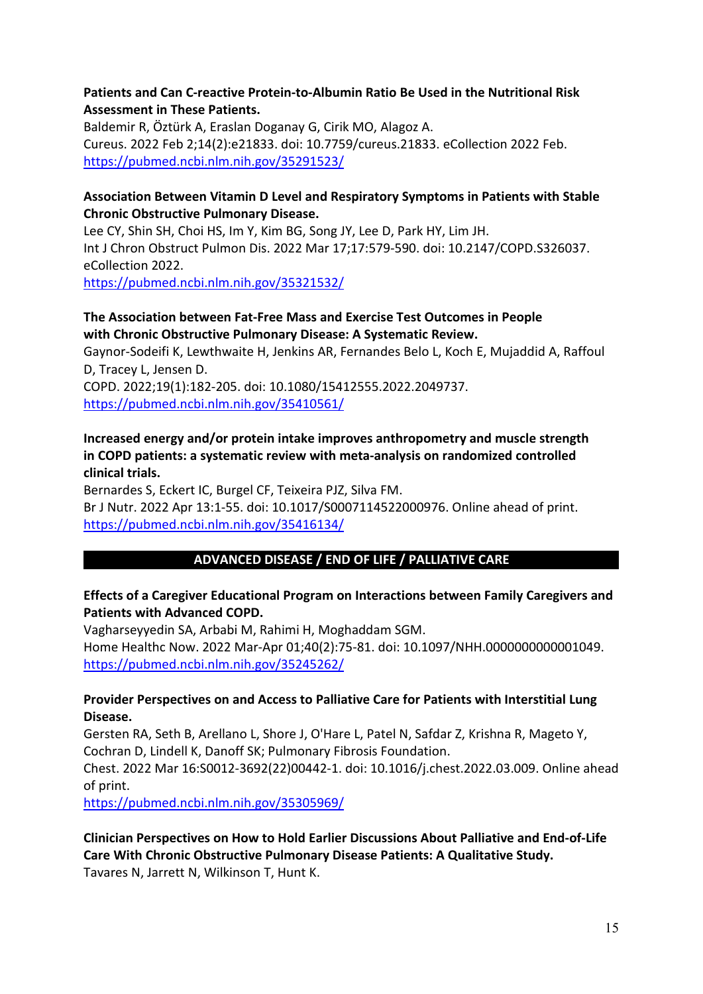#### **Patients and Can C-reactive Protein-to-Albumin Ratio Be Used in the Nutritional Risk Assessment in These Patients.**

Baldemir R, Öztürk A, Eraslan Doganay G, Cirik MO, Alagoz A. Cureus. 2022 Feb 2;14(2):e21833. doi: 10.7759/cureus.21833. eCollection 2022 Feb. <https://pubmed.ncbi.nlm.nih.gov/35291523/>

### **Association Between Vitamin D Level and Respiratory Symptoms in Patients with Stable Chronic Obstructive Pulmonary Disease.**

Lee CY, Shin SH, Choi HS, Im Y, Kim BG, Song JY, Lee D, Park HY, Lim JH. Int J Chron Obstruct Pulmon Dis. 2022 Mar 17;17:579-590. doi: 10.2147/COPD.S326037. eCollection 2022.

<https://pubmed.ncbi.nlm.nih.gov/35321532/>

### **The Association between Fat-Free Mass and Exercise Test Outcomes in People with Chronic Obstructive Pulmonary Disease: A Systematic Review.**

Gaynor-Sodeifi K, Lewthwaite H, Jenkins AR, Fernandes Belo L, Koch E, Mujaddid A, Raffoul D, Tracey L, Jensen D.

COPD. 2022;19(1):182-205. doi: 10.1080/15412555.2022.2049737. <https://pubmed.ncbi.nlm.nih.gov/35410561/>

### **Increased energy and/or protein intake improves anthropometry and muscle strength in COPD patients: a systematic review with meta-analysis on randomized controlled clinical trials.**

Bernardes S, Eckert IC, Burgel CF, Teixeira PJZ, Silva FM. Br J Nutr. 2022 Apr 13:1-55. doi: 10.1017/S0007114522000976. Online ahead of print. <https://pubmed.ncbi.nlm.nih.gov/35416134/>

## **ADVANCED DISEASE / END OF LIFE / PALLIATIVE CARE**

### **Effects of a Caregiver Educational Program on Interactions between Family Caregivers and Patients with Advanced COPD.**

Vagharseyyedin SA, Arbabi M, Rahimi H, Moghaddam SGM. Home Healthc Now. 2022 Mar-Apr 01;40(2):75-81. doi: 10.1097/NHH.0000000000001049. <https://pubmed.ncbi.nlm.nih.gov/35245262/>

### **Provider Perspectives on and Access to Palliative Care for Patients with Interstitial Lung Disease.**

Gersten RA, Seth B, Arellano L, Shore J, O'Hare L, Patel N, Safdar Z, Krishna R, Mageto Y, Cochran D, Lindell K, Danoff SK; Pulmonary Fibrosis Foundation.

Chest. 2022 Mar 16:S0012-3692(22)00442-1. doi: 10.1016/j.chest.2022.03.009. Online ahead of print.

<https://pubmed.ncbi.nlm.nih.gov/35305969/>

**Clinician Perspectives on How to Hold Earlier Discussions About Palliative and End-of-Life Care With Chronic Obstructive Pulmonary Disease Patients: A Qualitative Study.** Tavares N, Jarrett N, Wilkinson T, Hunt K.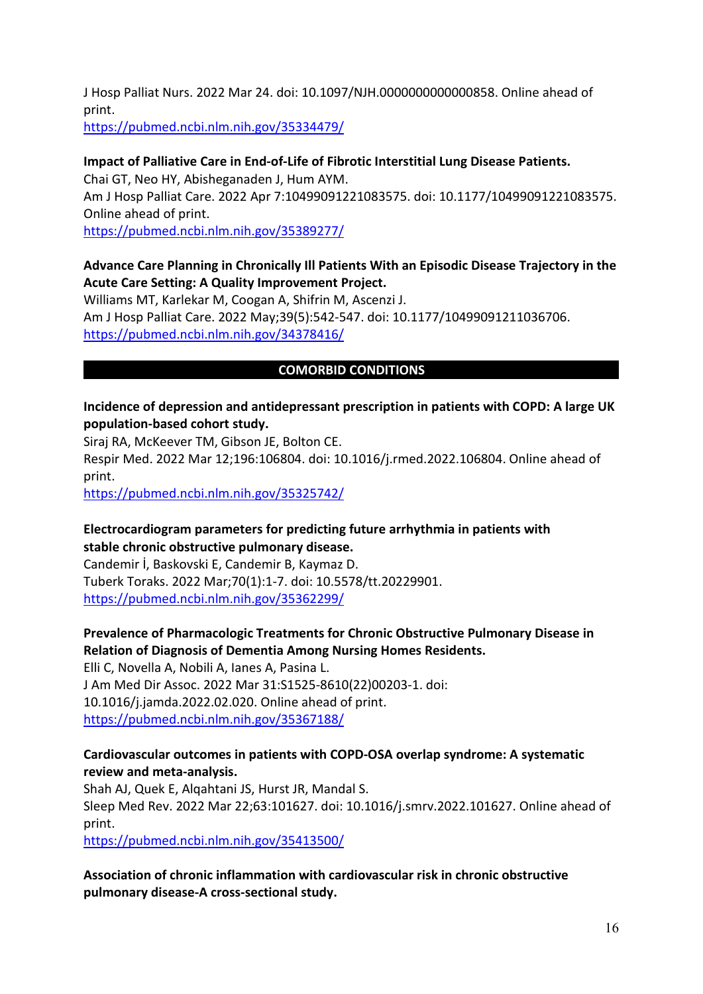J Hosp Palliat Nurs. 2022 Mar 24. doi: 10.1097/NJH.0000000000000858. Online ahead of print.

<https://pubmed.ncbi.nlm.nih.gov/35334479/>

# **Impact of Palliative Care in End-of-Life of Fibrotic Interstitial Lung Disease Patients.** Chai GT, Neo HY, Abisheganaden J, Hum AYM. Am J Hosp Palliat Care. 2022 Apr 7:10499091221083575. doi: 10.1177/10499091221083575. Online ahead of print.

<https://pubmed.ncbi.nlm.nih.gov/35389277/>

### **Advance Care Planning in Chronically Ill Patients With an Episodic Disease Trajectory in the Acute Care Setting: A Quality Improvement Project.**

Williams MT, Karlekar M, Coogan A, Shifrin M, Ascenzi J. Am J Hosp Palliat Care. 2022 May;39(5):542-547. doi: 10.1177/10499091211036706. <https://pubmed.ncbi.nlm.nih.gov/34378416/>

### **COMORBID CONDITIONS**

#### **Incidence of depression and antidepressant prescription in patients with COPD: A large UK population-based cohort study.**

Siraj RA, McKeever TM, Gibson JE, Bolton CE.

Respir Med. 2022 Mar 12;196:106804. doi: 10.1016/j.rmed.2022.106804. Online ahead of print.

<https://pubmed.ncbi.nlm.nih.gov/35325742/>

### **Electrocardiogram parameters for predicting future arrhythmia in patients with stable chronic obstructive pulmonary disease.**

Candemir İ, Baskovski E, Candemir B, Kaymaz D. Tuberk Toraks. 2022 Mar;70(1):1-7. doi: 10.5578/tt.20229901. <https://pubmed.ncbi.nlm.nih.gov/35362299/>

### **Prevalence of Pharmacologic Treatments for Chronic Obstructive Pulmonary Disease in Relation of Diagnosis of Dementia Among Nursing Homes Residents.**

Elli C, Novella A, Nobili A, Ianes A, Pasina L. J Am Med Dir Assoc. 2022 Mar 31:S1525-8610(22)00203-1. doi: 10.1016/j.jamda.2022.02.020. Online ahead of print. <https://pubmed.ncbi.nlm.nih.gov/35367188/>

### **Cardiovascular outcomes in patients with COPD-OSA overlap syndrome: A systematic review and meta-analysis.**

Shah AJ, Quek E, Alqahtani JS, Hurst JR, Mandal S. Sleep Med Rev. 2022 Mar 22;63:101627. doi: 10.1016/j.smrv.2022.101627. Online ahead of print. <https://pubmed.ncbi.nlm.nih.gov/35413500/>

### **Association of chronic inflammation with cardiovascular risk in chronic obstructive pulmonary disease-A cross-sectional study.**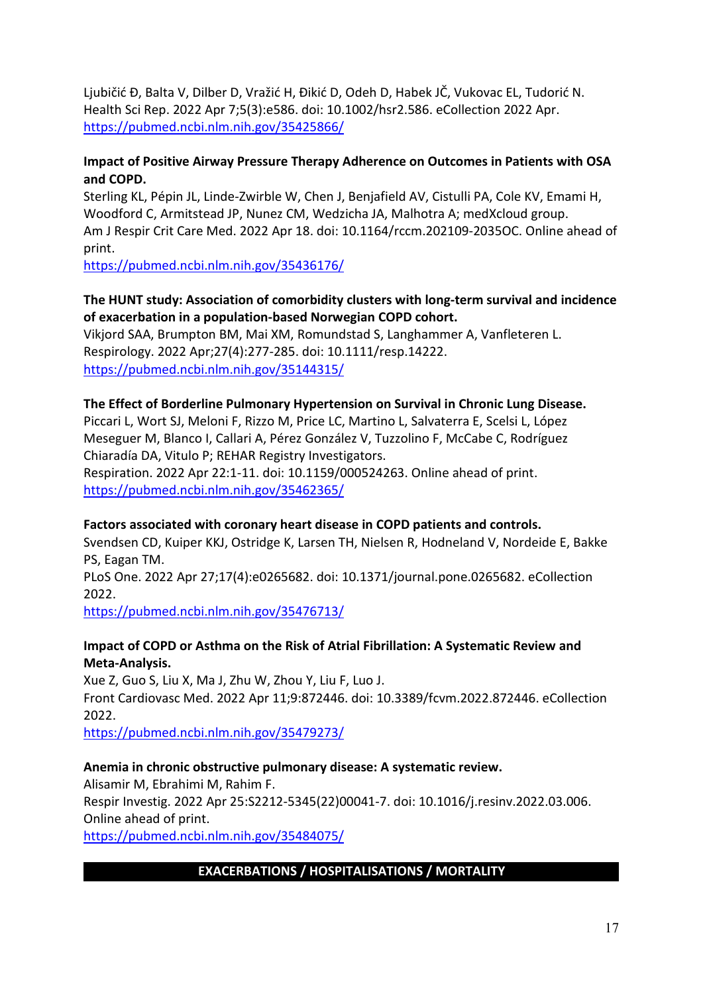Ljubičić Đ, Balta V, Dilber D, Vražić H, Đikić D, Odeh D, Habek JČ, Vukovac EL, Tudorić N. Health Sci Rep. 2022 Apr 7;5(3):e586. doi: 10.1002/hsr2.586. eCollection 2022 Apr. <https://pubmed.ncbi.nlm.nih.gov/35425866/>

### **Impact of Positive Airway Pressure Therapy Adherence on Outcomes in Patients with OSA and COPD.**

Sterling KL, Pépin JL, Linde-Zwirble W, Chen J, Benjafield AV, Cistulli PA, Cole KV, Emami H, Woodford C, Armitstead JP, Nunez CM, Wedzicha JA, Malhotra A; medXcloud group. Am J Respir Crit Care Med. 2022 Apr 18. doi: 10.1164/rccm.202109-2035OC. Online ahead of print.

<https://pubmed.ncbi.nlm.nih.gov/35436176/>

### **The HUNT study: Association of comorbidity clusters with long-term survival and incidence of exacerbation in a population-based Norwegian COPD cohort.**

Vikjord SAA, Brumpton BM, Mai XM, Romundstad S, Langhammer A, Vanfleteren L. Respirology. 2022 Apr;27(4):277-285. doi: 10.1111/resp.14222. <https://pubmed.ncbi.nlm.nih.gov/35144315/>

#### **The Effect of Borderline Pulmonary Hypertension on Survival in Chronic Lung Disease.**

Piccari L, Wort SJ, Meloni F, Rizzo M, Price LC, Martino L, Salvaterra E, Scelsi L, López Meseguer M, Blanco I, Callari A, Pérez González V, Tuzzolino F, McCabe C, Rodríguez Chiaradía DA, Vitulo P; REHAR Registry Investigators.

Respiration. 2022 Apr 22:1-11. doi: 10.1159/000524263. Online ahead of print. <https://pubmed.ncbi.nlm.nih.gov/35462365/>

### **Factors associated with coronary heart disease in COPD patients and controls.**

Svendsen CD, Kuiper KKJ, Ostridge K, Larsen TH, Nielsen R, Hodneland V, Nordeide E, Bakke PS, Eagan TM.

PLoS One. 2022 Apr 27;17(4):e0265682. doi: 10.1371/journal.pone.0265682. eCollection 2022.

<https://pubmed.ncbi.nlm.nih.gov/35476713/>

### **Impact of COPD or Asthma on the Risk of Atrial Fibrillation: A Systematic Review and Meta-Analysis.**

Xue Z, Guo S, Liu X, Ma J, Zhu W, Zhou Y, Liu F, Luo J. Front Cardiovasc Med. 2022 Apr 11;9:872446. doi: 10.3389/fcvm.2022.872446. eCollection 2022.

<https://pubmed.ncbi.nlm.nih.gov/35479273/>

### **Anemia in chronic obstructive pulmonary disease: A systematic review.**

Alisamir M, Ebrahimi M, Rahim F.

Respir Investig. 2022 Apr 25:S2212-5345(22)00041-7. doi: 10.1016/j.resinv.2022.03.006. Online ahead of print.

<https://pubmed.ncbi.nlm.nih.gov/35484075/>

### **EXACERBATIONS / HOSPITALISATIONS / MORTALITY**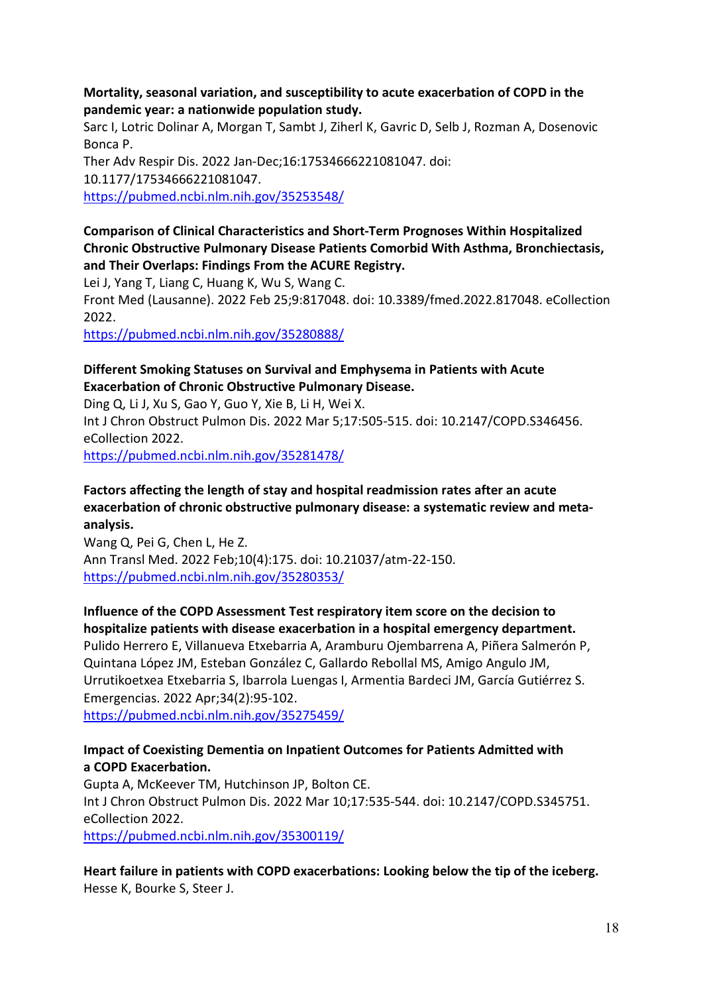#### **Mortality, seasonal variation, and susceptibility to acute exacerbation of COPD in the pandemic year: a nationwide population study.**

Sarc I, Lotric Dolinar A, Morgan T, Sambt J, Ziherl K, Gavric D, Selb J, Rozman A, Dosenovic Bonca P.

Ther Adv Respir Dis. 2022 Jan-Dec;16:17534666221081047. doi: 10.1177/17534666221081047. <https://pubmed.ncbi.nlm.nih.gov/35253548/>

### **Comparison of Clinical Characteristics and Short-Term Prognoses Within Hospitalized Chronic Obstructive Pulmonary Disease Patients Comorbid With Asthma, Bronchiectasis, and Their Overlaps: Findings From the ACURE Registry.**

Lei J, Yang T, Liang C, Huang K, Wu S, Wang C.

Front Med (Lausanne). 2022 Feb 25;9:817048. doi: 10.3389/fmed.2022.817048. eCollection 2022.

<https://pubmed.ncbi.nlm.nih.gov/35280888/>

### **Different Smoking Statuses on Survival and Emphysema in Patients with Acute Exacerbation of Chronic Obstructive Pulmonary Disease.**

Ding Q, Li J, Xu S, Gao Y, Guo Y, Xie B, Li H, Wei X.

Int J Chron Obstruct Pulmon Dis. 2022 Mar 5;17:505-515. doi: 10.2147/COPD.S346456. eCollection 2022.

<https://pubmed.ncbi.nlm.nih.gov/35281478/>

## **Factors affecting the length of stay and hospital readmission rates after an acute exacerbation of chronic obstructive pulmonary disease: a systematic review and metaanalysis.**

Wang Q, Pei G, Chen L, He Z. Ann Transl Med. 2022 Feb;10(4):175. doi: 10.21037/atm-22-150. <https://pubmed.ncbi.nlm.nih.gov/35280353/>

## **Influence of the COPD Assessment Test respiratory item score on the decision to hospitalize patients with disease exacerbation in a hospital emergency department.**

Pulido Herrero E, Villanueva Etxebarria A, Aramburu Ojembarrena A, Piñera Salmerón P, Quintana López JM, Esteban González C, Gallardo Rebollal MS, Amigo Angulo JM, Urrutikoetxea Etxebarria S, Ibarrola Luengas I, Armentia Bardeci JM, García Gutiérrez S. Emergencias. 2022 Apr;34(2):95-102.

<https://pubmed.ncbi.nlm.nih.gov/35275459/>

### **Impact of Coexisting Dementia on Inpatient Outcomes for Patients Admitted with a COPD Exacerbation.**

Gupta A, McKeever TM, Hutchinson JP, Bolton CE. Int J Chron Obstruct Pulmon Dis. 2022 Mar 10;17:535-544. doi: 10.2147/COPD.S345751. eCollection 2022.

<https://pubmed.ncbi.nlm.nih.gov/35300119/>

**Heart failure in patients with COPD exacerbations: Looking below the tip of the iceberg.** Hesse K, Bourke S, Steer J.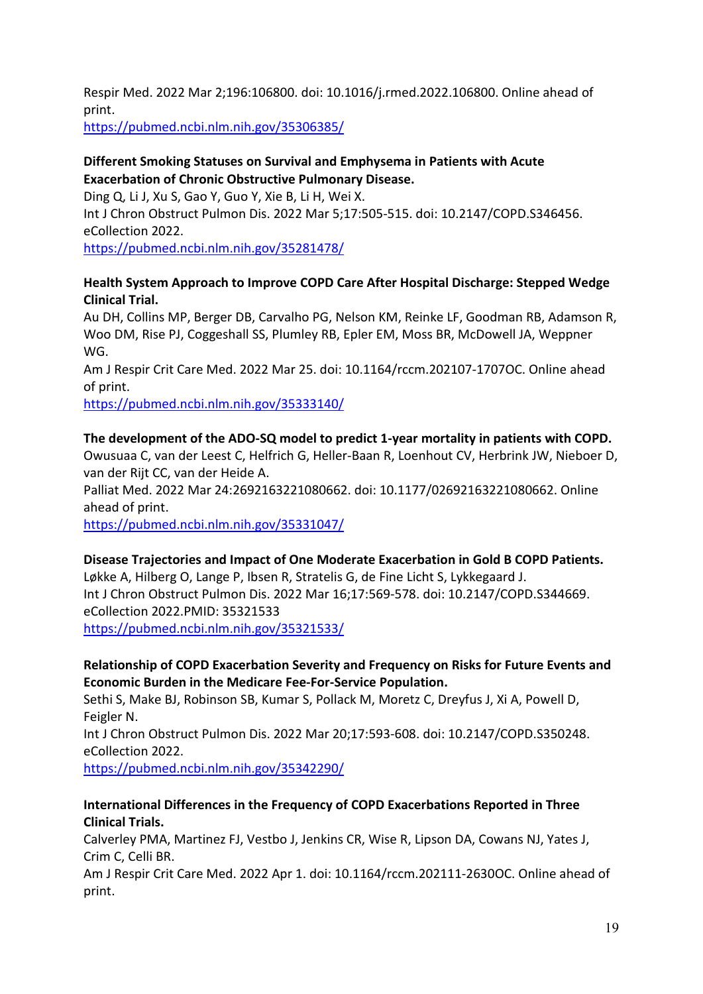Respir Med. 2022 Mar 2;196:106800. doi: 10.1016/j.rmed.2022.106800. Online ahead of print.

<https://pubmed.ncbi.nlm.nih.gov/35306385/>

#### **Different Smoking Statuses on Survival and Emphysema in Patients with Acute Exacerbation of Chronic Obstructive Pulmonary Disease.**

Ding Q, Li J, Xu S, Gao Y, Guo Y, Xie B, Li H, Wei X. Int J Chron Obstruct Pulmon Dis. 2022 Mar 5;17:505-515. doi: 10.2147/COPD.S346456. eCollection 2022.

<https://pubmed.ncbi.nlm.nih.gov/35281478/>

### **Health System Approach to Improve COPD Care After Hospital Discharge: Stepped Wedge Clinical Trial.**

Au DH, Collins MP, Berger DB, Carvalho PG, Nelson KM, Reinke LF, Goodman RB, Adamson R, Woo DM, Rise PJ, Coggeshall SS, Plumley RB, Epler EM, Moss BR, McDowell JA, Weppner WG.

Am J Respir Crit Care Med. 2022 Mar 25. doi: 10.1164/rccm.202107-1707OC. Online ahead of print.

<https://pubmed.ncbi.nlm.nih.gov/35333140/>

### **The development of the ADO-SQ model to predict 1-year mortality in patients with COPD.**

Owusuaa C, van der Leest C, Helfrich G, Heller-Baan R, Loenhout CV, Herbrink JW, Nieboer D, van der Rijt CC, van der Heide A.

Palliat Med. 2022 Mar 24:2692163221080662. doi: 10.1177/02692163221080662. Online ahead of print.

<https://pubmed.ncbi.nlm.nih.gov/35331047/>

#### **Disease Trajectories and Impact of One Moderate Exacerbation in Gold B COPD Patients.**

Løkke A, Hilberg O, Lange P, Ibsen R, Stratelis G, de Fine Licht S, Lykkegaard J. Int J Chron Obstruct Pulmon Dis. 2022 Mar 16;17:569-578. doi: 10.2147/COPD.S344669. eCollection 2022.PMID: 35321533 <https://pubmed.ncbi.nlm.nih.gov/35321533/>

### **Relationship of COPD Exacerbation Severity and Frequency on Risks for Future Events and Economic Burden in the Medicare Fee-For-Service Population.**

Sethi S, Make BJ, Robinson SB, Kumar S, Pollack M, Moretz C, Dreyfus J, Xi A, Powell D, Feigler N.

Int J Chron Obstruct Pulmon Dis. 2022 Mar 20;17:593-608. doi: 10.2147/COPD.S350248. eCollection 2022.

<https://pubmed.ncbi.nlm.nih.gov/35342290/>

### **International Differences in the Frequency of COPD Exacerbations Reported in Three Clinical Trials.**

Calverley PMA, Martinez FJ, Vestbo J, Jenkins CR, Wise R, Lipson DA, Cowans NJ, Yates J, Crim C, Celli BR.

Am J Respir Crit Care Med. 2022 Apr 1. doi: 10.1164/rccm.202111-2630OC. Online ahead of print.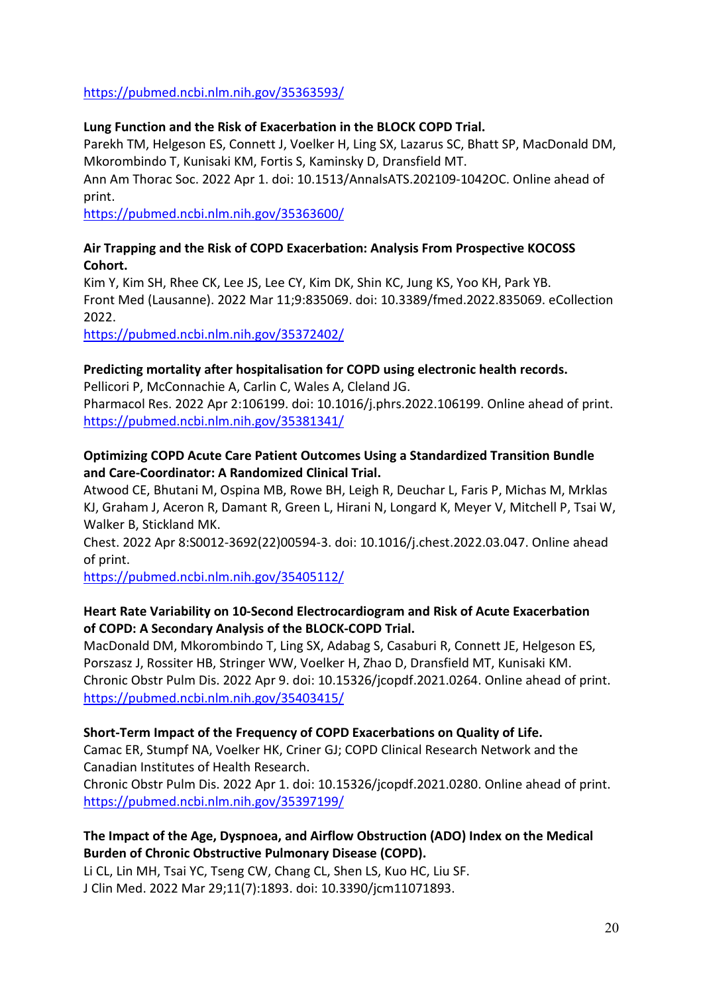<https://pubmed.ncbi.nlm.nih.gov/35363593/>

#### **Lung Function and the Risk of Exacerbation in the BLOCK COPD Trial.**

Parekh TM, Helgeson ES, Connett J, Voelker H, Ling SX, Lazarus SC, Bhatt SP, MacDonald DM, Mkorombindo T, Kunisaki KM, Fortis S, Kaminsky D, Dransfield MT.

Ann Am Thorac Soc. 2022 Apr 1. doi: 10.1513/AnnalsATS.202109-1042OC. Online ahead of print.

<https://pubmed.ncbi.nlm.nih.gov/35363600/>

#### **Air Trapping and the Risk of COPD Exacerbation: Analysis From Prospective KOCOSS Cohort.**

Kim Y, Kim SH, Rhee CK, Lee JS, Lee CY, Kim DK, Shin KC, Jung KS, Yoo KH, Park YB. Front Med (Lausanne). 2022 Mar 11;9:835069. doi: 10.3389/fmed.2022.835069. eCollection 2022.

<https://pubmed.ncbi.nlm.nih.gov/35372402/>

### **Predicting mortality after hospitalisation for COPD using electronic health records.**

Pellicori P, McConnachie A, Carlin C, Wales A, Cleland JG. Pharmacol Res. 2022 Apr 2:106199. doi: 10.1016/j.phrs.2022.106199. Online ahead of print. <https://pubmed.ncbi.nlm.nih.gov/35381341/>

### **Optimizing COPD Acute Care Patient Outcomes Using a Standardized Transition Bundle and Care-Coordinator: A Randomized Clinical Trial.**

Atwood CE, Bhutani M, Ospina MB, Rowe BH, Leigh R, Deuchar L, Faris P, Michas M, Mrklas KJ, Graham J, Aceron R, Damant R, Green L, Hirani N, Longard K, Meyer V, Mitchell P, Tsai W, Walker B, Stickland MK.

Chest. 2022 Apr 8:S0012-3692(22)00594-3. doi: 10.1016/j.chest.2022.03.047. Online ahead of print.

<https://pubmed.ncbi.nlm.nih.gov/35405112/>

### **Heart Rate Variability on 10-Second Electrocardiogram and Risk of Acute Exacerbation of COPD: A Secondary Analysis of the BLOCK-COPD Trial.**

MacDonald DM, Mkorombindo T, Ling SX, Adabag S, Casaburi R, Connett JE, Helgeson ES, Porszasz J, Rossiter HB, Stringer WW, Voelker H, Zhao D, Dransfield MT, Kunisaki KM. Chronic Obstr Pulm Dis. 2022 Apr 9. doi: 10.15326/jcopdf.2021.0264. Online ahead of print. <https://pubmed.ncbi.nlm.nih.gov/35403415/>

### **Short-Term Impact of the Frequency of COPD Exacerbations on Quality of Life.**

Camac ER, Stumpf NA, Voelker HK, Criner GJ; COPD Clinical Research Network and the Canadian Institutes of Health Research.

Chronic Obstr Pulm Dis. 2022 Apr 1. doi: 10.15326/jcopdf.2021.0280. Online ahead of print. <https://pubmed.ncbi.nlm.nih.gov/35397199/>

### **The Impact of the Age, Dyspnoea, and Airflow Obstruction (ADO) Index on the Medical Burden of Chronic Obstructive Pulmonary Disease (COPD).**

Li CL, Lin MH, Tsai YC, Tseng CW, Chang CL, Shen LS, Kuo HC, Liu SF. J Clin Med. 2022 Mar 29;11(7):1893. doi: 10.3390/jcm11071893.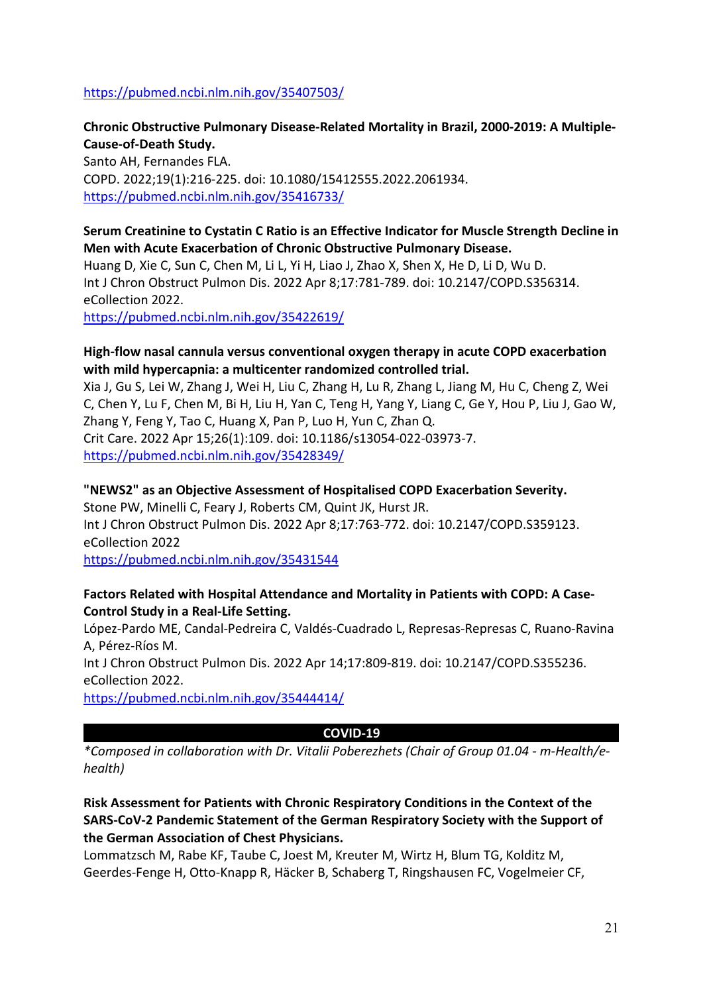#### <https://pubmed.ncbi.nlm.nih.gov/35407503/>

## **Chronic Obstructive Pulmonary Disease-Related Mortality in Brazil, 2000-2019: A Multiple-Cause-of-Death Study.**

Santo AH, Fernandes FLA. COPD. 2022;19(1):216-225. doi: 10.1080/15412555.2022.2061934. <https://pubmed.ncbi.nlm.nih.gov/35416733/>

#### **Serum Creatinine to Cystatin C Ratio is an Effective Indicator for Muscle Strength Decline in Men with Acute Exacerbation of Chronic Obstructive Pulmonary Disease.**

Huang D, Xie C, Sun C, Chen M, Li L, Yi H, Liao J, Zhao X, Shen X, He D, Li D, Wu D. Int J Chron Obstruct Pulmon Dis. 2022 Apr 8;17:781-789. doi: 10.2147/COPD.S356314. eCollection 2022.

<https://pubmed.ncbi.nlm.nih.gov/35422619/>

#### **High-flow nasal cannula versus conventional oxygen therapy in acute COPD exacerbation with mild hypercapnia: a multicenter randomized controlled trial.**

Xia J, Gu S, Lei W, Zhang J, Wei H, Liu C, Zhang H, Lu R, Zhang L, Jiang M, Hu C, Cheng Z, Wei C, Chen Y, Lu F, Chen M, Bi H, Liu H, Yan C, Teng H, Yang Y, Liang C, Ge Y, Hou P, Liu J, Gao W, Zhang Y, Feng Y, Tao C, Huang X, Pan P, Luo H, Yun C, Zhan Q. Crit Care. 2022 Apr 15;26(1):109. doi: 10.1186/s13054-022-03973-7. <https://pubmed.ncbi.nlm.nih.gov/35428349/>

### **"NEWS2" as an Objective Assessment of Hospitalised COPD Exacerbation Severity.** Stone PW, Minelli C, Feary J, Roberts CM, Quint JK, Hurst JR. Int J Chron Obstruct Pulmon Dis. 2022 Apr 8;17:763-772. doi: 10.2147/COPD.S359123. eCollection 2022 <https://pubmed.ncbi.nlm.nih.gov/35431544>

### **Factors Related with Hospital Attendance and Mortality in Patients with COPD: A Case-Control Study in a Real-Life Setting.**

López-Pardo ME, Candal-Pedreira C, Valdés-Cuadrado L, Represas-Represas C, Ruano-Ravina A, Pérez-Ríos M. Int J Chron Obstruct Pulmon Dis. 2022 Apr 14;17:809-819. doi: 10.2147/COPD.S355236. eCollection 2022.

<https://pubmed.ncbi.nlm.nih.gov/35444414/>

#### **COVID-19**

*\*Composed in collaboration with Dr. Vitalii Poberezhets (Chair of Group 01.04 - m-Health/ehealth)*

**Risk Assessment for Patients with Chronic Respiratory Conditions in the Context of the SARS-CoV-2 Pandemic Statement of the German Respiratory Society with the Support of the German Association of Chest Physicians.**

Lommatzsch M, Rabe KF, Taube C, Joest M, Kreuter M, Wirtz H, Blum TG, Kolditz M, Geerdes-Fenge H, Otto-Knapp R, Häcker B, Schaberg T, Ringshausen FC, Vogelmeier CF,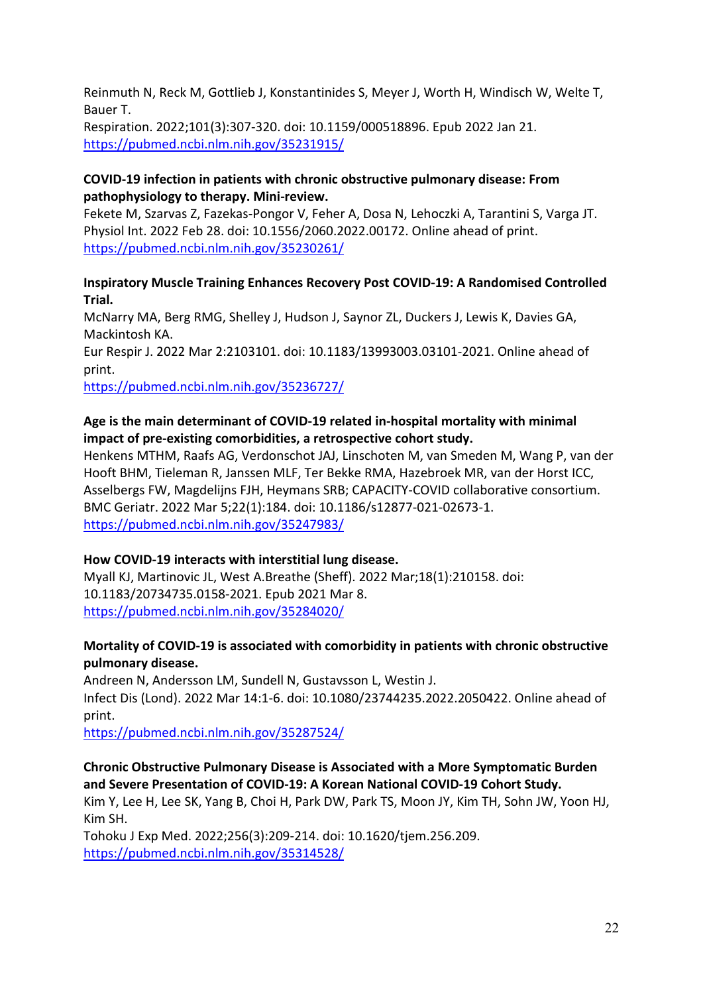Reinmuth N, Reck M, Gottlieb J, Konstantinides S, Meyer J, Worth H, Windisch W, Welte T, Bauer T.

Respiration. 2022;101(3):307-320. doi: 10.1159/000518896. Epub 2022 Jan 21. <https://pubmed.ncbi.nlm.nih.gov/35231915/>

### **COVID-19 infection in patients with chronic obstructive pulmonary disease: From pathophysiology to therapy. Mini-review.**

Fekete M, Szarvas Z, Fazekas-Pongor V, Feher A, Dosa N, Lehoczki A, Tarantini S, Varga JT. Physiol Int. 2022 Feb 28. doi: 10.1556/2060.2022.00172. Online ahead of print. <https://pubmed.ncbi.nlm.nih.gov/35230261/>

**Inspiratory Muscle Training Enhances Recovery Post COVID-19: A Randomised Controlled Trial.**

McNarry MA, Berg RMG, Shelley J, Hudson J, Saynor ZL, Duckers J, Lewis K, Davies GA, Mackintosh KA.

Eur Respir J. 2022 Mar 2:2103101. doi: 10.1183/13993003.03101-2021. Online ahead of print.

<https://pubmed.ncbi.nlm.nih.gov/35236727/>

### **Age is the main determinant of COVID-19 related in-hospital mortality with minimal impact of pre-existing comorbidities, a retrospective cohort study.**

Henkens MTHM, Raafs AG, Verdonschot JAJ, Linschoten M, van Smeden M, Wang P, van der Hooft BHM, Tieleman R, Janssen MLF, Ter Bekke RMA, Hazebroek MR, van der Horst ICC, Asselbergs FW, Magdelijns FJH, Heymans SRB; CAPACITY-COVID collaborative consortium. BMC Geriatr. 2022 Mar 5;22(1):184. doi: 10.1186/s12877-021-02673-1. <https://pubmed.ncbi.nlm.nih.gov/35247983/>

### **How COVID-19 interacts with interstitial lung disease.**

Myall KJ, Martinovic JL, West A.Breathe (Sheff). 2022 Mar;18(1):210158. doi: 10.1183/20734735.0158-2021. Epub 2021 Mar 8. <https://pubmed.ncbi.nlm.nih.gov/35284020/>

### **Mortality of COVID-19 is associated with comorbidity in patients with chronic obstructive pulmonary disease.**

Andreen N, Andersson LM, Sundell N, Gustavsson L, Westin J. Infect Dis (Lond). 2022 Mar 14:1-6. doi: 10.1080/23744235.2022.2050422. Online ahead of print.

<https://pubmed.ncbi.nlm.nih.gov/35287524/>

## **Chronic Obstructive Pulmonary Disease is Associated with a More Symptomatic Burden and Severe Presentation of COVID-19: A Korean National COVID-19 Cohort Study.**

Kim Y, Lee H, Lee SK, Yang B, Choi H, Park DW, Park TS, Moon JY, Kim TH, Sohn JW, Yoon HJ, Kim SH.

Tohoku J Exp Med. 2022;256(3):209-214. doi: 10.1620/tjem.256.209. <https://pubmed.ncbi.nlm.nih.gov/35314528/>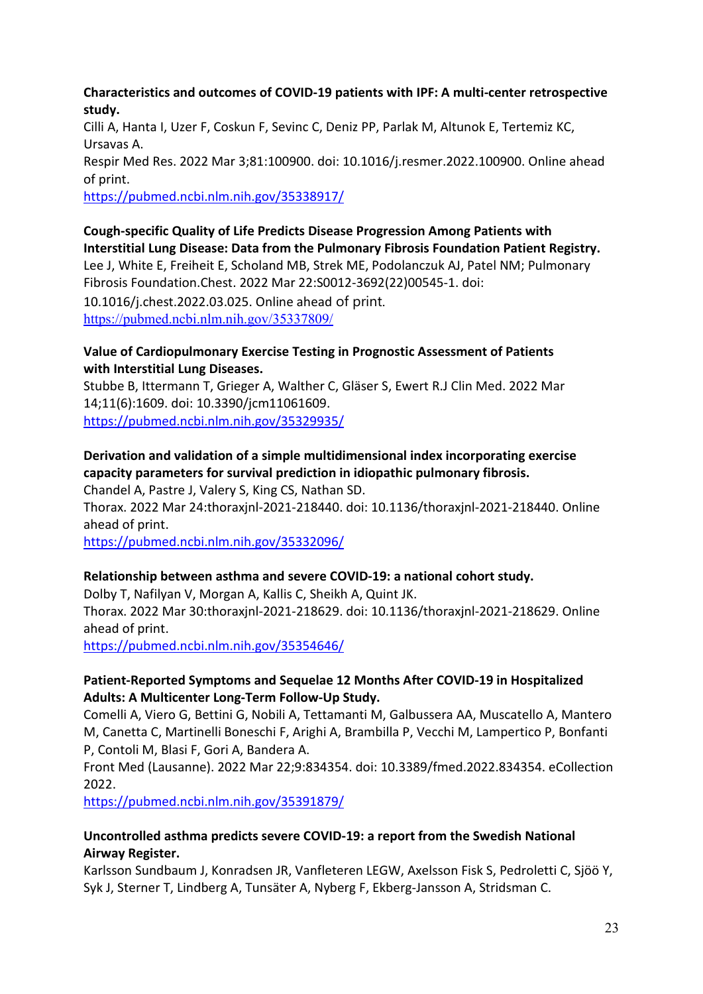#### **Characteristics and outcomes of COVID-19 patients with IPF: A multi-center retrospective study.**

Cilli A, Hanta I, Uzer F, Coskun F, Sevinc C, Deniz PP, Parlak M, Altunok E, Tertemiz KC, Ursavas A.

Respir Med Res. 2022 Mar 3;81:100900. doi: 10.1016/j.resmer.2022.100900. Online ahead of print.

<https://pubmed.ncbi.nlm.nih.gov/35338917/>

**Cough-specific Quality of Life Predicts Disease Progression Among Patients with Interstitial Lung Disease: Data from the Pulmonary Fibrosis Foundation Patient Registry.** Lee J, White E, Freiheit E, Scholand MB, Strek ME, Podolanczuk AJ, Patel NM; Pulmonary Fibrosis Foundation.Chest. 2022 Mar 22:S0012-3692(22)00545-1. doi: 10.1016/j.chest.2022.03.025. Online ahead of print. <https://pubmed.ncbi.nlm.nih.gov/35337809/>

#### **Value of Cardiopulmonary Exercise Testing in Prognostic Assessment of Patients with Interstitial Lung Diseases.**

Stubbe B, Ittermann T, Grieger A, Walther C, Gläser S, Ewert R.J Clin Med. 2022 Mar 14;11(6):1609. doi: 10.3390/jcm11061609. <https://pubmed.ncbi.nlm.nih.gov/35329935/>

**Derivation and validation of a simple multidimensional index incorporating exercise capacity parameters for survival prediction in idiopathic pulmonary fibrosis.**  Chandel A, Pastre J, Valery S, King CS, Nathan SD.

Thorax. 2022 Mar 24:thoraxjnl-2021-218440. doi: 10.1136/thoraxjnl-2021-218440. Online ahead of print.

<https://pubmed.ncbi.nlm.nih.gov/35332096/>

### **Relationship between asthma and severe COVID-19: a national cohort study.**

Dolby T, Nafilyan V, Morgan A, Kallis C, Sheikh A, Quint JK.

Thorax. 2022 Mar 30:thoraxjnl-2021-218629. doi: 10.1136/thoraxjnl-2021-218629. Online ahead of print.

<https://pubmed.ncbi.nlm.nih.gov/35354646/>

### **Patient-Reported Symptoms and Sequelae 12 Months After COVID-19 in Hospitalized Adults: A Multicenter Long-Term Follow-Up Study.**

Comelli A, Viero G, Bettini G, Nobili A, Tettamanti M, Galbussera AA, Muscatello A, Mantero M, Canetta C, Martinelli Boneschi F, Arighi A, Brambilla P, Vecchi M, Lampertico P, Bonfanti P, Contoli M, Blasi F, Gori A, Bandera A.

Front Med (Lausanne). 2022 Mar 22;9:834354. doi: 10.3389/fmed.2022.834354. eCollection 2022.

<https://pubmed.ncbi.nlm.nih.gov/35391879/>

### **Uncontrolled asthma predicts severe COVID-19: a report from the Swedish National Airway Register.**

Karlsson Sundbaum J, Konradsen JR, Vanfleteren LEGW, Axelsson Fisk S, Pedroletti C, Sjöö Y, Syk J, Sterner T, Lindberg A, Tunsäter A, Nyberg F, Ekberg-Jansson A, Stridsman C.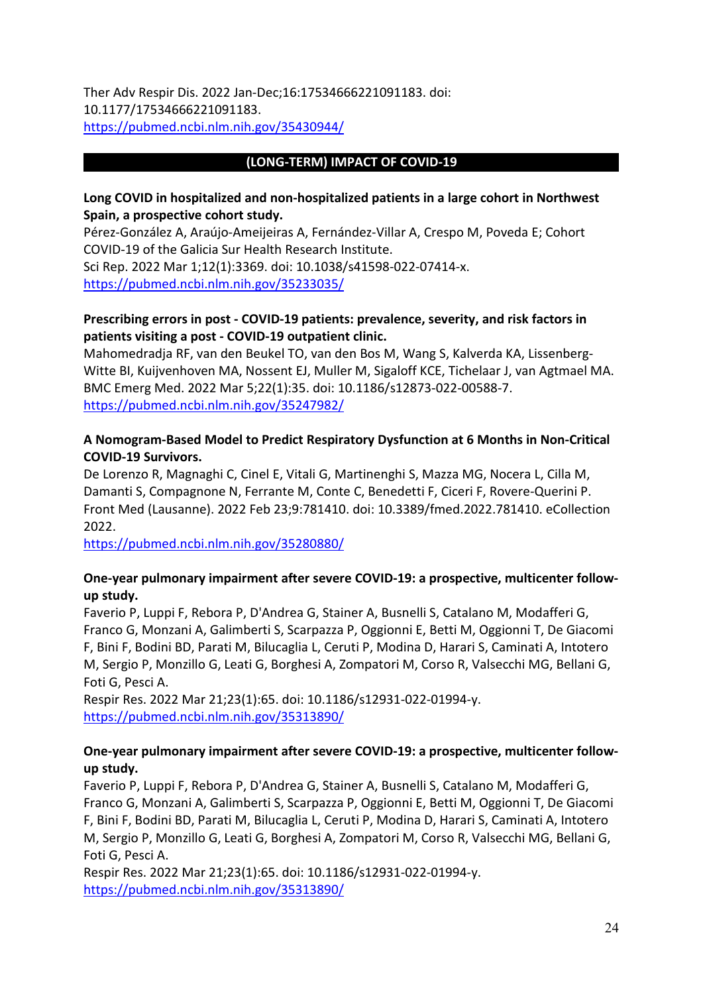Ther Adv Respir Dis. 2022 Jan-Dec;16:17534666221091183. doi: 10.1177/17534666221091183. <https://pubmed.ncbi.nlm.nih.gov/35430944/>

### **(LONG-TERM) IMPACT OF COVID-19**

#### **Long COVID in hospitalized and non-hospitalized patients in a large cohort in Northwest Spain, a prospective cohort study.**

Pérez-González A, Araújo-Ameijeiras A, Fernández-Villar A, Crespo M, Poveda E; Cohort COVID-19 of the Galicia Sur Health Research Institute.

Sci Rep. 2022 Mar 1;12(1):3369. doi: 10.1038/s41598-022-07414-x. <https://pubmed.ncbi.nlm.nih.gov/35233035/>

### **Prescribing errors in post - COVID-19 patients: prevalence, severity, and risk factors in patients visiting a post - COVID-19 outpatient clinic.**

Mahomedradja RF, van den Beukel TO, van den Bos M, Wang S, Kalverda KA, Lissenberg-Witte BI, Kuijvenhoven MA, Nossent EJ, Muller M, Sigaloff KCE, Tichelaar J, van Agtmael MA. BMC Emerg Med. 2022 Mar 5;22(1):35. doi: 10.1186/s12873-022-00588-7. <https://pubmed.ncbi.nlm.nih.gov/35247982/>

### **A Nomogram-Based Model to Predict Respiratory Dysfunction at 6 Months in Non-Critical COVID-19 Survivors.**

De Lorenzo R, Magnaghi C, Cinel E, Vitali G, Martinenghi S, Mazza MG, Nocera L, Cilla M, Damanti S, Compagnone N, Ferrante M, Conte C, Benedetti F, Ciceri F, Rovere-Querini P. Front Med (Lausanne). 2022 Feb 23;9:781410. doi: 10.3389/fmed.2022.781410. eCollection 2022.

<https://pubmed.ncbi.nlm.nih.gov/35280880/>

#### **One-year pulmonary impairment after severe COVID-19: a prospective, multicenter followup study.**

Faverio P, Luppi F, Rebora P, D'Andrea G, Stainer A, Busnelli S, Catalano M, Modafferi G, Franco G, Monzani A, Galimberti S, Scarpazza P, Oggionni E, Betti M, Oggionni T, De Giacomi F, Bini F, Bodini BD, Parati M, Bilucaglia L, Ceruti P, Modina D, Harari S, Caminati A, Intotero M, Sergio P, Monzillo G, Leati G, Borghesi A, Zompatori M, Corso R, Valsecchi MG, Bellani G, Foti G, Pesci A.

Respir Res. 2022 Mar 21;23(1):65. doi: 10.1186/s12931-022-01994-y. <https://pubmed.ncbi.nlm.nih.gov/35313890/>

### **One-year pulmonary impairment after severe COVID-19: a prospective, multicenter followup study.**

Faverio P, Luppi F, Rebora P, D'Andrea G, Stainer A, Busnelli S, Catalano M, Modafferi G, Franco G, Monzani A, Galimberti S, Scarpazza P, Oggionni E, Betti M, Oggionni T, De Giacomi F, Bini F, Bodini BD, Parati M, Bilucaglia L, Ceruti P, Modina D, Harari S, Caminati A, Intotero M, Sergio P, Monzillo G, Leati G, Borghesi A, Zompatori M, Corso R, Valsecchi MG, Bellani G, Foti G, Pesci A.

Respir Res. 2022 Mar 21;23(1):65. doi: 10.1186/s12931-022-01994-y. <https://pubmed.ncbi.nlm.nih.gov/35313890/>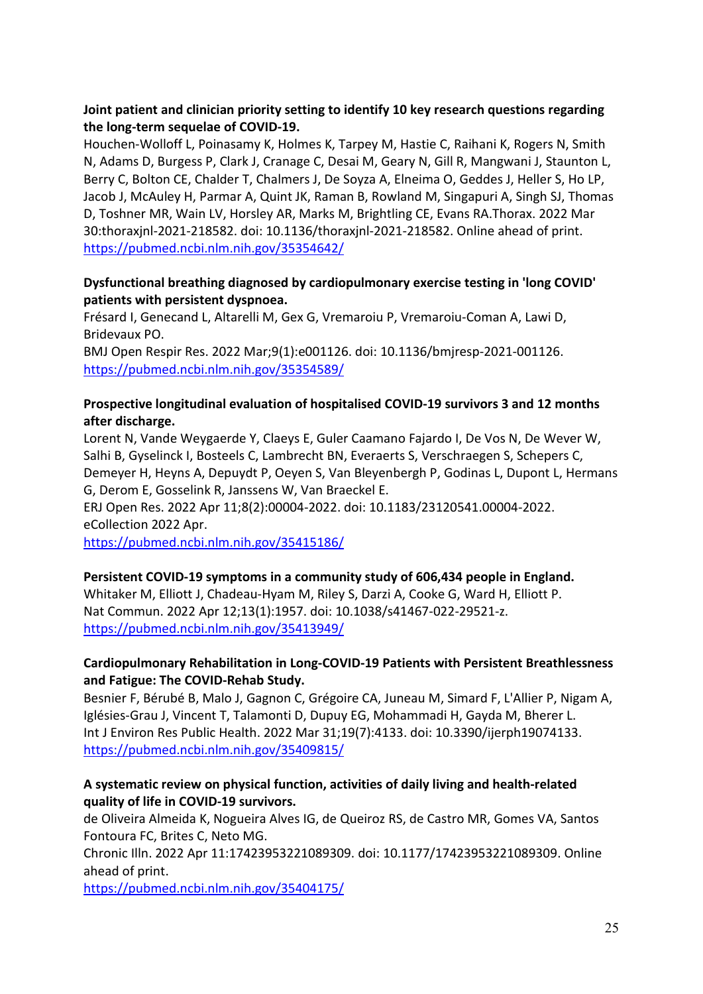### **Joint patient and clinician priority setting to identify 10 key research questions regarding the long-term sequelae of COVID-19.**

Houchen-Wolloff L, Poinasamy K, Holmes K, Tarpey M, Hastie C, Raihani K, Rogers N, Smith N, Adams D, Burgess P, Clark J, Cranage C, Desai M, Geary N, Gill R, Mangwani J, Staunton L, Berry C, Bolton CE, Chalder T, Chalmers J, De Soyza A, Elneima O, Geddes J, Heller S, Ho LP, Jacob J, McAuley H, Parmar A, Quint JK, Raman B, Rowland M, Singapuri A, Singh SJ, Thomas D, Toshner MR, Wain LV, Horsley AR, Marks M, Brightling CE, Evans RA.Thorax. 2022 Mar 30:thoraxjnl-2021-218582. doi: 10.1136/thoraxjnl-2021-218582. Online ahead of print. <https://pubmed.ncbi.nlm.nih.gov/35354642/>

### **Dysfunctional breathing diagnosed by cardiopulmonary exercise testing in 'long COVID' patients with persistent dyspnoea.**

Frésard I, Genecand L, Altarelli M, Gex G, Vremaroiu P, Vremaroiu-Coman A, Lawi D, Bridevaux PO.

BMJ Open Respir Res. 2022 Mar;9(1):e001126. doi: 10.1136/bmjresp-2021-001126. <https://pubmed.ncbi.nlm.nih.gov/35354589/>

### **Prospective longitudinal evaluation of hospitalised COVID-19 survivors 3 and 12 months after discharge.**

Lorent N, Vande Weygaerde Y, Claeys E, Guler Caamano Fajardo I, De Vos N, De Wever W, Salhi B, Gyselinck I, Bosteels C, Lambrecht BN, Everaerts S, Verschraegen S, Schepers C, Demeyer H, Heyns A, Depuydt P, Oeyen S, Van Bleyenbergh P, Godinas L, Dupont L, Hermans G, Derom E, Gosselink R, Janssens W, Van Braeckel E.

ERJ Open Res. 2022 Apr 11;8(2):00004-2022. doi: 10.1183/23120541.00004-2022. eCollection 2022 Apr.

<https://pubmed.ncbi.nlm.nih.gov/35415186/>

### **Persistent COVID-19 symptoms in a community study of 606,434 people in England.**

Whitaker M, Elliott J, Chadeau-Hyam M, Riley S, Darzi A, Cooke G, Ward H, Elliott P. Nat Commun. 2022 Apr 12;13(1):1957. doi: 10.1038/s41467-022-29521-z. <https://pubmed.ncbi.nlm.nih.gov/35413949/>

### **Cardiopulmonary Rehabilitation in Long-COVID-19 Patients with Persistent Breathlessness and Fatigue: The COVID-Rehab Study.**

Besnier F, Bérubé B, Malo J, Gagnon C, Grégoire CA, Juneau M, Simard F, L'Allier P, Nigam A, Iglésies-Grau J, Vincent T, Talamonti D, Dupuy EG, Mohammadi H, Gayda M, Bherer L. Int J Environ Res Public Health. 2022 Mar 31;19(7):4133. doi: 10.3390/ijerph19074133. <https://pubmed.ncbi.nlm.nih.gov/35409815/>

### **A systematic review on physical function, activities of daily living and health-related quality of life in COVID-19 survivors.**

de Oliveira Almeida K, Nogueira Alves IG, de Queiroz RS, de Castro MR, Gomes VA, Santos Fontoura FC, Brites C, Neto MG.

Chronic Illn. 2022 Apr 11:17423953221089309. doi: 10.1177/17423953221089309. Online ahead of print.

<https://pubmed.ncbi.nlm.nih.gov/35404175/>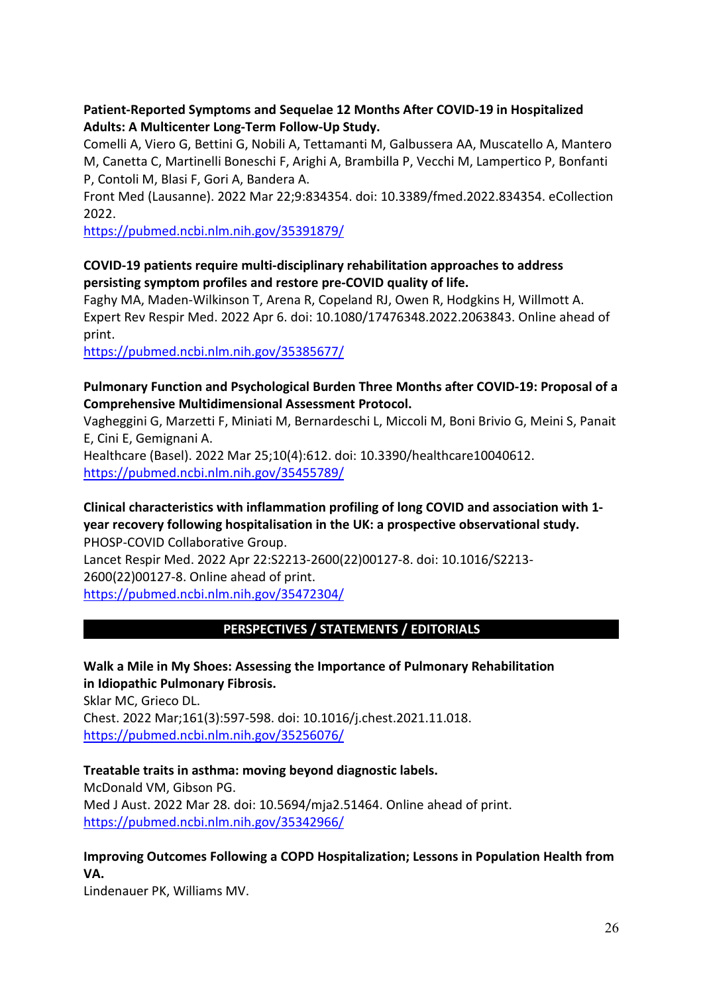### **Patient-Reported Symptoms and Sequelae 12 Months After COVID-19 in Hospitalized Adults: A Multicenter Long-Term Follow-Up Study.**

Comelli A, Viero G, Bettini G, Nobili A, Tettamanti M, Galbussera AA, Muscatello A, Mantero M, Canetta C, Martinelli Boneschi F, Arighi A, Brambilla P, Vecchi M, Lampertico P, Bonfanti P, Contoli M, Blasi F, Gori A, Bandera A.

Front Med (Lausanne). 2022 Mar 22;9:834354. doi: 10.3389/fmed.2022.834354. eCollection 2022.

<https://pubmed.ncbi.nlm.nih.gov/35391879/>

### **COVID-19 patients require multi-disciplinary rehabilitation approaches to address persisting symptom profiles and restore pre-COVID quality of life.**

Faghy MA, Maden-Wilkinson T, Arena R, Copeland RJ, Owen R, Hodgkins H, Willmott A. Expert Rev Respir Med. 2022 Apr 6. doi: 10.1080/17476348.2022.2063843. Online ahead of print.

<https://pubmed.ncbi.nlm.nih.gov/35385677/>

### **Pulmonary Function and Psychological Burden Three Months after COVID-19: Proposal of a Comprehensive Multidimensional Assessment Protocol.**

Vagheggini G, Marzetti F, Miniati M, Bernardeschi L, Miccoli M, Boni Brivio G, Meini S, Panait E, Cini E, Gemignani A.

Healthcare (Basel). 2022 Mar 25;10(4):612. doi: 10.3390/healthcare10040612. <https://pubmed.ncbi.nlm.nih.gov/35455789/>

# **Clinical characteristics with inflammation profiling of long COVID and association with 1 year recovery following hospitalisation in the UK: a prospective observational study.**

PHOSP-COVID Collaborative Group.

Lancet Respir Med. 2022 Apr 22:S2213-2600(22)00127-8. doi: 10.1016/S2213- 2600(22)00127-8. Online ahead of print. <https://pubmed.ncbi.nlm.nih.gov/35472304/>

## **PERSPECTIVES / STATEMENTS / EDITORIALS**

**Walk a Mile in My Shoes: Assessing the Importance of Pulmonary Rehabilitation in Idiopathic Pulmonary Fibrosis.**  Sklar MC, Grieco DL. Chest. 2022 Mar;161(3):597-598. doi: 10.1016/j.chest.2021.11.018. <https://pubmed.ncbi.nlm.nih.gov/35256076/>

## **Treatable traits in asthma: moving beyond diagnostic labels.**

McDonald VM, Gibson PG. Med J Aust. 2022 Mar 28. doi: 10.5694/mja2.51464. Online ahead of print. <https://pubmed.ncbi.nlm.nih.gov/35342966/>

## **Improving Outcomes Following a COPD Hospitalization; Lessons in Population Health from VA.**

Lindenauer PK, Williams MV.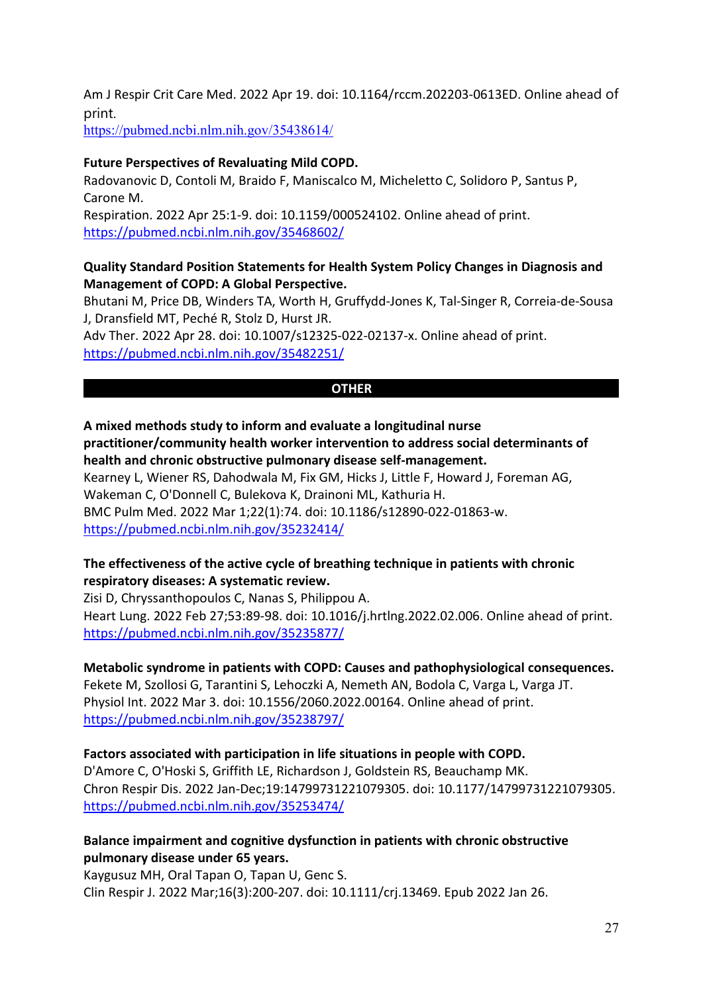Am J Respir Crit Care Med. 2022 Apr 19. doi: 10.1164/rccm.202203-0613ED. Online ahead of print.

<https://pubmed.ncbi.nlm.nih.gov/35438614/>

#### **Future Perspectives of Revaluating Mild COPD.**

Radovanovic D, Contoli M, Braido F, Maniscalco M, Micheletto C, Solidoro P, Santus P, Carone M. Respiration. 2022 Apr 25:1-9. doi: 10.1159/000524102. Online ahead of print. <https://pubmed.ncbi.nlm.nih.gov/35468602/>

**Quality Standard Position Statements for Health System Policy Changes in Diagnosis and Management of COPD: A Global Perspective.**

Bhutani M, Price DB, Winders TA, Worth H, Gruffydd-Jones K, Tal-Singer R, Correia-de-Sousa J, Dransfield MT, Peché R, Stolz D, Hurst JR.

Adv Ther. 2022 Apr 28. doi: 10.1007/s12325-022-02137-x. Online ahead of print. <https://pubmed.ncbi.nlm.nih.gov/35482251/>

#### **OTHER**

**A mixed methods study to inform and evaluate a longitudinal nurse practitioner/community health worker intervention to address social determinants of health and chronic obstructive pulmonary disease self-management.** Kearney L, Wiener RS, Dahodwala M, Fix GM, Hicks J, Little F, Howard J, Foreman AG, Wakeman C, O'Donnell C, Bulekova K, Drainoni ML, Kathuria H. BMC Pulm Med. 2022 Mar 1;22(1):74. doi: 10.1186/s12890-022-01863-w. <https://pubmed.ncbi.nlm.nih.gov/35232414/>

### **The effectiveness of the active cycle of breathing technique in patients with chronic respiratory diseases: A systematic review.**

Zisi D, Chryssanthopoulos C, Nanas S, Philippou A. Heart Lung. 2022 Feb 27;53:89-98. doi: 10.1016/j.hrtlng.2022.02.006. Online ahead of print. <https://pubmed.ncbi.nlm.nih.gov/35235877/>

**Metabolic syndrome in patients with COPD: Causes and pathophysiological consequences.** Fekete M, Szollosi G, Tarantini S, Lehoczki A, Nemeth AN, Bodola C, Varga L, Varga JT. Physiol Int. 2022 Mar 3. doi: 10.1556/2060.2022.00164. Online ahead of print. <https://pubmed.ncbi.nlm.nih.gov/35238797/>

#### **Factors associated with participation in life situations in people with COPD.**

D'Amore C, O'Hoski S, Griffith LE, Richardson J, Goldstein RS, Beauchamp MK. Chron Respir Dis. 2022 Jan-Dec;19:14799731221079305. doi: 10.1177/14799731221079305. <https://pubmed.ncbi.nlm.nih.gov/35253474/>

### **Balance impairment and cognitive dysfunction in patients with chronic obstructive pulmonary disease under 65 years.**

Kaygusuz MH, Oral Tapan O, Tapan U, Genc S. Clin Respir J. 2022 Mar;16(3):200-207. doi: 10.1111/crj.13469. Epub 2022 Jan 26.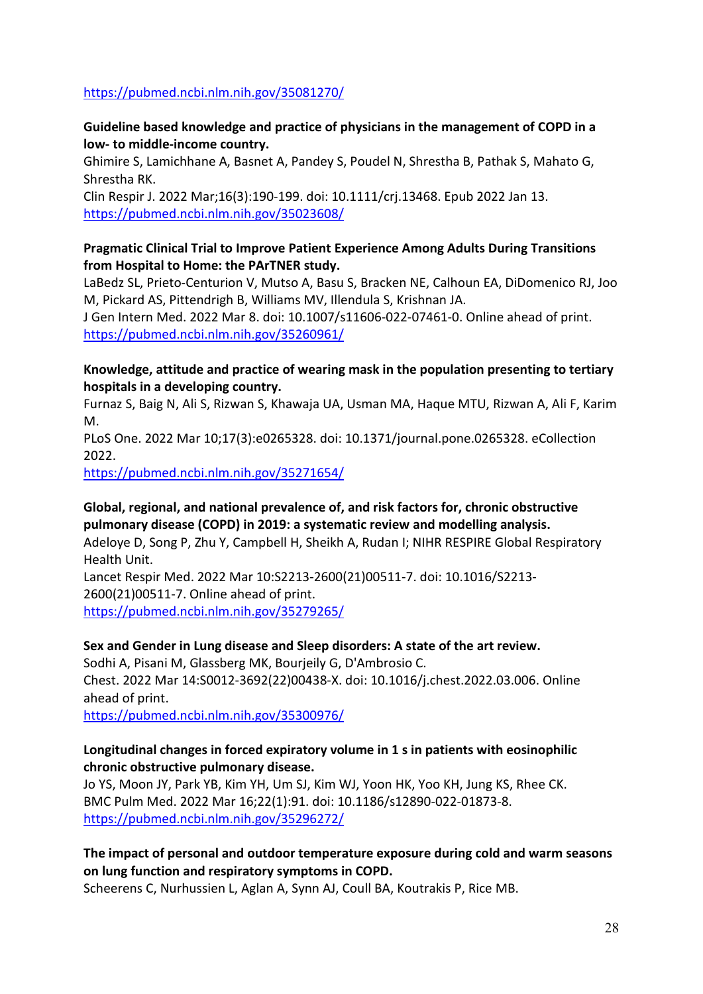#### <https://pubmed.ncbi.nlm.nih.gov/35081270/>

### **Guideline based knowledge and practice of physicians in the management of COPD in a low- to middle-income country.**

Ghimire S, Lamichhane A, Basnet A, Pandey S, Poudel N, Shrestha B, Pathak S, Mahato G, Shrestha RK.

Clin Respir J. 2022 Mar;16(3):190-199. doi: 10.1111/crj.13468. Epub 2022 Jan 13. <https://pubmed.ncbi.nlm.nih.gov/35023608/>

#### **Pragmatic Clinical Trial to Improve Patient Experience Among Adults During Transitions from Hospital to Home: the PArTNER study.**

LaBedz SL, Prieto-Centurion V, Mutso A, Basu S, Bracken NE, Calhoun EA, DiDomenico RJ, Joo M, Pickard AS, Pittendrigh B, Williams MV, Illendula S, Krishnan JA.

J Gen Intern Med. 2022 Mar 8. doi: 10.1007/s11606-022-07461-0. Online ahead of print. <https://pubmed.ncbi.nlm.nih.gov/35260961/>

### **Knowledge, attitude and practice of wearing mask in the population presenting to tertiary hospitals in a developing country.**

Furnaz S, Baig N, Ali S, Rizwan S, Khawaja UA, Usman MA, Haque MTU, Rizwan A, Ali F, Karim M.

PLoS One. 2022 Mar 10;17(3):e0265328. doi: 10.1371/journal.pone.0265328. eCollection 2022.

<https://pubmed.ncbi.nlm.nih.gov/35271654/>

## **Global, regional, and national prevalence of, and risk factors for, chronic obstructive pulmonary disease (COPD) in 2019: a systematic review and modelling analysis.**

Adeloye D, Song P, Zhu Y, Campbell H, Sheikh A, Rudan I; NIHR RESPIRE Global Respiratory Health Unit.

Lancet Respir Med. 2022 Mar 10:S2213-2600(21)00511-7. doi: 10.1016/S2213- 2600(21)00511-7. Online ahead of print. <https://pubmed.ncbi.nlm.nih.gov/35279265/>

### **Sex and Gender in Lung disease and Sleep disorders: A state of the art review.**

Sodhi A, Pisani M, Glassberg MK, Bourjeily G, D'Ambrosio C. Chest. 2022 Mar 14:S0012-3692(22)00438-X. doi: 10.1016/j.chest.2022.03.006. Online ahead of print.

<https://pubmed.ncbi.nlm.nih.gov/35300976/>

### **Longitudinal changes in forced expiratory volume in 1 s in patients with eosinophilic chronic obstructive pulmonary disease.**

Jo YS, Moon JY, Park YB, Kim YH, Um SJ, Kim WJ, Yoon HK, Yoo KH, Jung KS, Rhee CK. BMC Pulm Med. 2022 Mar 16;22(1):91. doi: 10.1186/s12890-022-01873-8. <https://pubmed.ncbi.nlm.nih.gov/35296272/>

### **The impact of personal and outdoor temperature exposure during cold and warm seasons on lung function and respiratory symptoms in COPD.**

Scheerens C, Nurhussien L, Aglan A, Synn AJ, Coull BA, Koutrakis P, Rice MB.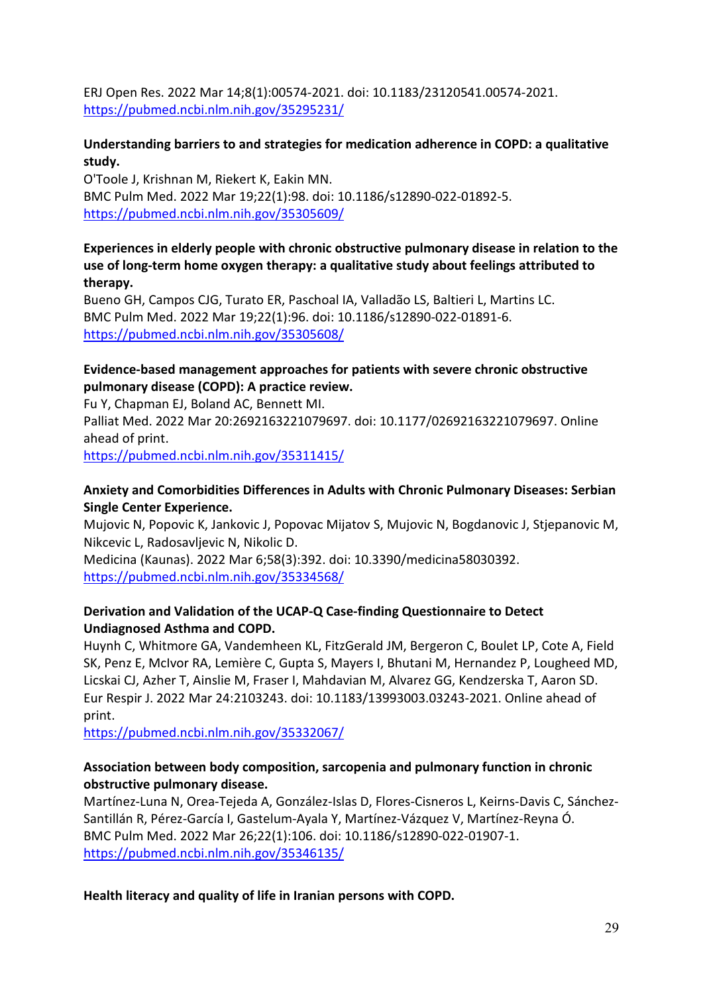ERJ Open Res. 2022 Mar 14;8(1):00574-2021. doi: 10.1183/23120541.00574-2021. <https://pubmed.ncbi.nlm.nih.gov/35295231/>

### **Understanding barriers to and strategies for medication adherence in COPD: a qualitative study.**

O'Toole J, Krishnan M, Riekert K, Eakin MN. BMC Pulm Med. 2022 Mar 19;22(1):98. doi: 10.1186/s12890-022-01892-5. <https://pubmed.ncbi.nlm.nih.gov/35305609/>

**Experiences in elderly people with chronic obstructive pulmonary disease in relation to the use of long-term home oxygen therapy: a qualitative study about feelings attributed to therapy.**

Bueno GH, Campos CJG, Turato ER, Paschoal IA, Valladão LS, Baltieri L, Martins LC. BMC Pulm Med. 2022 Mar 19;22(1):96. doi: 10.1186/s12890-022-01891-6. <https://pubmed.ncbi.nlm.nih.gov/35305608/>

### **Evidence-based management approaches for patients with severe chronic obstructive pulmonary disease (COPD): A practice review.**

Fu Y, Chapman EJ, Boland AC, Bennett MI.

Palliat Med. 2022 Mar 20:2692163221079697. doi: 10.1177/02692163221079697. Online ahead of print.

<https://pubmed.ncbi.nlm.nih.gov/35311415/>

### **Anxiety and Comorbidities Differences in Adults with Chronic Pulmonary Diseases: Serbian Single Center Experience.**

Mujovic N, Popovic K, Jankovic J, Popovac Mijatov S, Mujovic N, Bogdanovic J, Stjepanovic M, Nikcevic L, Radosavljevic N, Nikolic D.

Medicina (Kaunas). 2022 Mar 6;58(3):392. doi: 10.3390/medicina58030392. <https://pubmed.ncbi.nlm.nih.gov/35334568/>

### **Derivation and Validation of the UCAP-Q Case-finding Questionnaire to Detect Undiagnosed Asthma and COPD.**

Huynh C, Whitmore GA, Vandemheen KL, FitzGerald JM, Bergeron C, Boulet LP, Cote A, Field SK, Penz E, McIvor RA, Lemière C, Gupta S, Mayers I, Bhutani M, Hernandez P, Lougheed MD, Licskai CJ, Azher T, Ainslie M, Fraser I, Mahdavian M, Alvarez GG, Kendzerska T, Aaron SD. Eur Respir J. 2022 Mar 24:2103243. doi: 10.1183/13993003.03243-2021. Online ahead of print.

<https://pubmed.ncbi.nlm.nih.gov/35332067/>

### **Association between body composition, sarcopenia and pulmonary function in chronic obstructive pulmonary disease.**

Martínez-Luna N, Orea-Tejeda A, González-Islas D, Flores-Cisneros L, Keirns-Davis C, Sánchez-Santillán R, Pérez-García I, Gastelum-Ayala Y, Martínez-Vázquez V, Martínez-Reyna Ó. BMC Pulm Med. 2022 Mar 26;22(1):106. doi: 10.1186/s12890-022-01907-1. <https://pubmed.ncbi.nlm.nih.gov/35346135/>

**Health literacy and quality of life in Iranian persons with COPD.**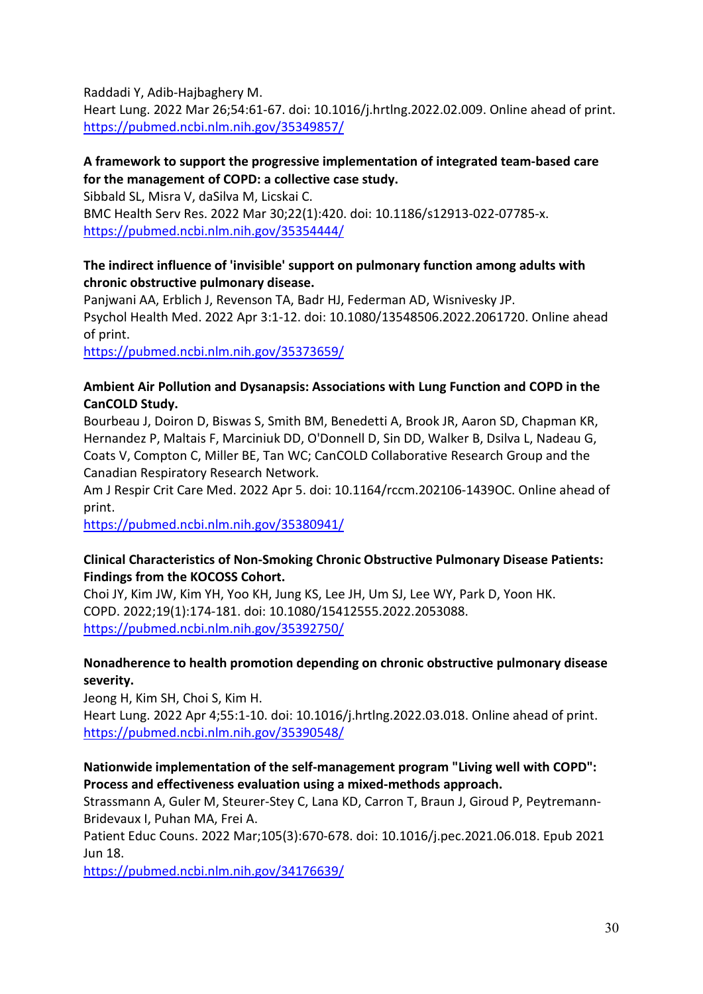Raddadi Y, Adib-Hajbaghery M.

Heart Lung. 2022 Mar 26;54:61-67. doi: 10.1016/j.hrtlng.2022.02.009. Online ahead of print. <https://pubmed.ncbi.nlm.nih.gov/35349857/>

### **A framework to support the progressive implementation of integrated team-based care for the management of COPD: a collective case study.**

Sibbald SL, Misra V, daSilva M, Licskai C. BMC Health Serv Res. 2022 Mar 30;22(1):420. doi: 10.1186/s12913-022-07785-x. <https://pubmed.ncbi.nlm.nih.gov/35354444/>

### **The indirect influence of 'invisible' support on pulmonary function among adults with chronic obstructive pulmonary disease.**

Panjwani AA, Erblich J, Revenson TA, Badr HJ, Federman AD, Wisnivesky JP. Psychol Health Med. 2022 Apr 3:1-12. doi: 10.1080/13548506.2022.2061720. Online ahead of print.

<https://pubmed.ncbi.nlm.nih.gov/35373659/>

### **Ambient Air Pollution and Dysanapsis: Associations with Lung Function and COPD in the CanCOLD Study.**

Bourbeau J, Doiron D, Biswas S, Smith BM, Benedetti A, Brook JR, Aaron SD, Chapman KR, Hernandez P, Maltais F, Marciniuk DD, O'Donnell D, Sin DD, Walker B, Dsilva L, Nadeau G, Coats V, Compton C, Miller BE, Tan WC; CanCOLD Collaborative Research Group and the Canadian Respiratory Research Network.

Am J Respir Crit Care Med. 2022 Apr 5. doi: 10.1164/rccm.202106-1439OC. Online ahead of print.

<https://pubmed.ncbi.nlm.nih.gov/35380941/>

### **Clinical Characteristics of Non-Smoking Chronic Obstructive Pulmonary Disease Patients: Findings from the KOCOSS Cohort.**

Choi JY, Kim JW, Kim YH, Yoo KH, Jung KS, Lee JH, Um SJ, Lee WY, Park D, Yoon HK. COPD. 2022;19(1):174-181. doi: 10.1080/15412555.2022.2053088. <https://pubmed.ncbi.nlm.nih.gov/35392750/>

### **Nonadherence to health promotion depending on chronic obstructive pulmonary disease severity.**

Jeong H, Kim SH, Choi S, Kim H.

Heart Lung. 2022 Apr 4;55:1-10. doi: 10.1016/j.hrtlng.2022.03.018. Online ahead of print. <https://pubmed.ncbi.nlm.nih.gov/35390548/>

### **Nationwide implementation of the self-management program "Living well with COPD": Process and effectiveness evaluation using a mixed-methods approach.**

Strassmann A, Guler M, Steurer-Stey C, Lana KD, Carron T, Braun J, Giroud P, Peytremann-Bridevaux I, Puhan MA, Frei A.

Patient Educ Couns. 2022 Mar;105(3):670-678. doi: 10.1016/j.pec.2021.06.018. Epub 2021 Jun 18.

<https://pubmed.ncbi.nlm.nih.gov/34176639/>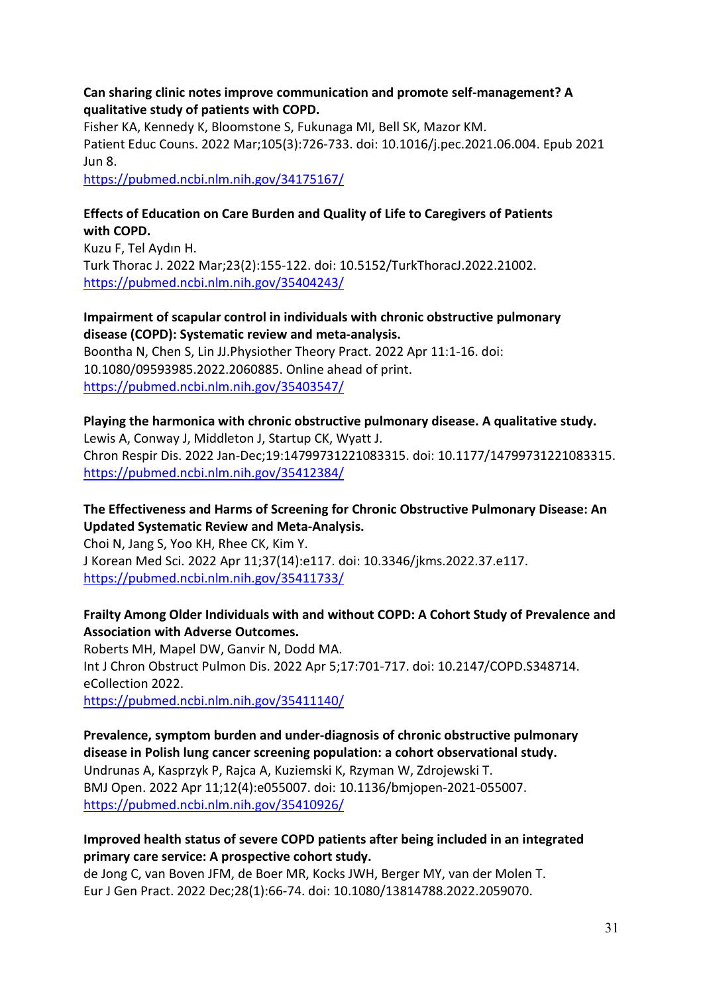#### **Can sharing clinic notes improve communication and promote self-management? A qualitative study of patients with COPD.**

Fisher KA, Kennedy K, Bloomstone S, Fukunaga MI, Bell SK, Mazor KM. Patient Educ Couns. 2022 Mar;105(3):726-733. doi: 10.1016/j.pec.2021.06.004. Epub 2021 Jun 8. <https://pubmed.ncbi.nlm.nih.gov/34175167/>

### **Effects of Education on Care Burden and Quality of Life to Caregivers of Patients with COPD.**

Kuzu F, Tel Aydın H. Turk Thorac J. 2022 Mar;23(2):155-122. doi: 10.5152/TurkThoracJ.2022.21002. <https://pubmed.ncbi.nlm.nih.gov/35404243/>

### **Impairment of scapular control in individuals with chronic obstructive pulmonary disease (COPD): Systematic review and meta-analysis.**

Boontha N, Chen S, Lin JJ.Physiother Theory Pract. 2022 Apr 11:1-16. doi: 10.1080/09593985.2022.2060885. Online ahead of print. <https://pubmed.ncbi.nlm.nih.gov/35403547/>

#### **Playing the harmonica with chronic obstructive pulmonary disease. A qualitative study.** Lewis A, Conway J, Middleton J, Startup CK, Wyatt J.

Chron Respir Dis. 2022 Jan-Dec;19:14799731221083315. doi: 10.1177/14799731221083315. <https://pubmed.ncbi.nlm.nih.gov/35412384/>

## **The Effectiveness and Harms of Screening for Chronic Obstructive Pulmonary Disease: An Updated Systematic Review and Meta-Analysis.**

Choi N, Jang S, Yoo KH, Rhee CK, Kim Y. J Korean Med Sci. 2022 Apr 11;37(14):e117. doi: 10.3346/jkms.2022.37.e117. <https://pubmed.ncbi.nlm.nih.gov/35411733/>

## **Frailty Among Older Individuals with and without COPD: A Cohort Study of Prevalence and Association with Adverse Outcomes.**

Roberts MH, Mapel DW, Ganvir N, Dodd MA. Int J Chron Obstruct Pulmon Dis. 2022 Apr 5;17:701-717. doi: 10.2147/COPD.S348714. eCollection 2022.

<https://pubmed.ncbi.nlm.nih.gov/35411140/>

**Prevalence, symptom burden and under-diagnosis of chronic obstructive pulmonary disease in Polish lung cancer screening population: a cohort observational study.** Undrunas A, Kasprzyk P, Rajca A, Kuziemski K, Rzyman W, Zdrojewski T. BMJ Open. 2022 Apr 11;12(4):e055007. doi: 10.1136/bmjopen-2021-055007. <https://pubmed.ncbi.nlm.nih.gov/35410926/>

## **Improved health status of severe COPD patients after being included in an integrated primary care service: A prospective cohort study.**

de Jong C, van Boven JFM, de Boer MR, Kocks JWH, Berger MY, van der Molen T. Eur J Gen Pract. 2022 Dec;28(1):66-74. doi: 10.1080/13814788.2022.2059070.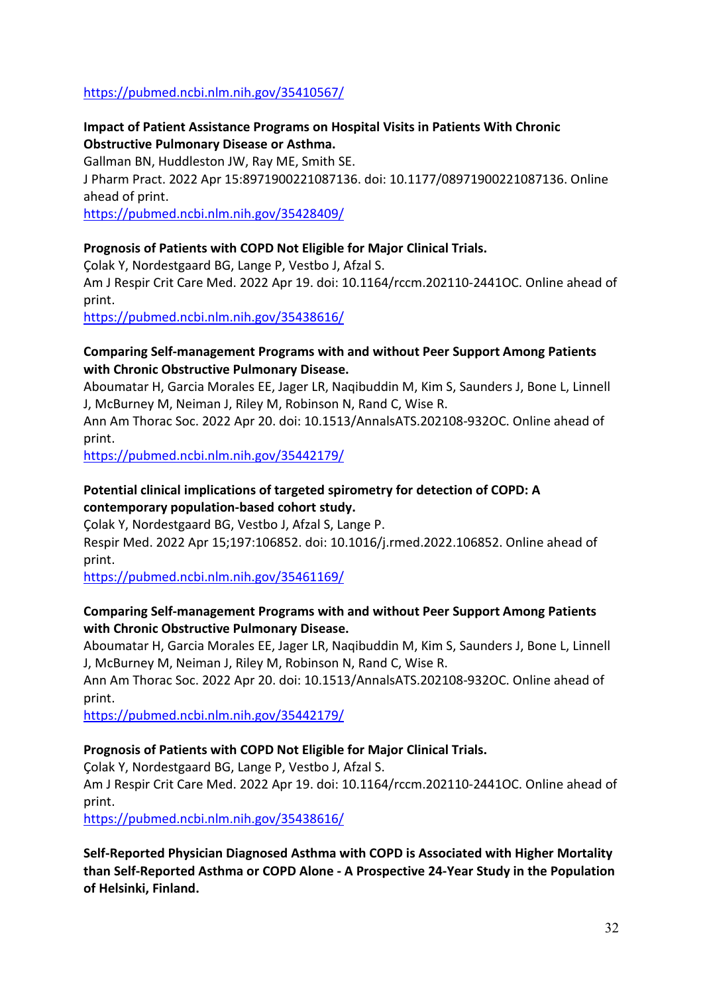#### <https://pubmed.ncbi.nlm.nih.gov/35410567/>

### **Impact of Patient Assistance Programs on Hospital Visits in Patients With Chronic Obstructive Pulmonary Disease or Asthma.**

Gallman BN, Huddleston JW, Ray ME, Smith SE.

J Pharm Pract. 2022 Apr 15:8971900221087136. doi: 10.1177/08971900221087136. Online ahead of print.

<https://pubmed.ncbi.nlm.nih.gov/35428409/>

#### **Prognosis of Patients with COPD Not Eligible for Major Clinical Trials.**

Çolak Y, Nordestgaard BG, Lange P, Vestbo J, Afzal S.

Am J Respir Crit Care Med. 2022 Apr 19. doi: 10.1164/rccm.202110-2441OC. Online ahead of print.

<https://pubmed.ncbi.nlm.nih.gov/35438616/>

#### **Comparing Self-management Programs with and without Peer Support Among Patients with Chronic Obstructive Pulmonary Disease.**

Aboumatar H, Garcia Morales EE, Jager LR, Naqibuddin M, Kim S, Saunders J, Bone L, Linnell J, McBurney M, Neiman J, Riley M, Robinson N, Rand C, Wise R.

Ann Am Thorac Soc. 2022 Apr 20. doi: 10.1513/AnnalsATS.202108-932OC. Online ahead of print.

<https://pubmed.ncbi.nlm.nih.gov/35442179/>

### **Potential clinical implications of targeted spirometry for detection of COPD: A contemporary population-based cohort study.**

Çolak Y, Nordestgaard BG, Vestbo J, Afzal S, Lange P.

Respir Med. 2022 Apr 15;197:106852. doi: 10.1016/j.rmed.2022.106852. Online ahead of print.

<https://pubmed.ncbi.nlm.nih.gov/35461169/>

### **Comparing Self-management Programs with and without Peer Support Among Patients with Chronic Obstructive Pulmonary Disease.**

Aboumatar H, Garcia Morales EE, Jager LR, Naqibuddin M, Kim S, Saunders J, Bone L, Linnell J, McBurney M, Neiman J, Riley M, Robinson N, Rand C, Wise R.

Ann Am Thorac Soc. 2022 Apr 20. doi: 10.1513/AnnalsATS.202108-932OC. Online ahead of print.

<https://pubmed.ncbi.nlm.nih.gov/35442179/>

### **Prognosis of Patients with COPD Not Eligible for Major Clinical Trials.**

Çolak Y, Nordestgaard BG, Lange P, Vestbo J, Afzal S.

Am J Respir Crit Care Med. 2022 Apr 19. doi: 10.1164/rccm.202110-2441OC. Online ahead of print.

<https://pubmed.ncbi.nlm.nih.gov/35438616/>

**Self-Reported Physician Diagnosed Asthma with COPD is Associated with Higher Mortality than Self-Reported Asthma or COPD Alone - A Prospective 24-Year Study in the Population of Helsinki, Finland.**